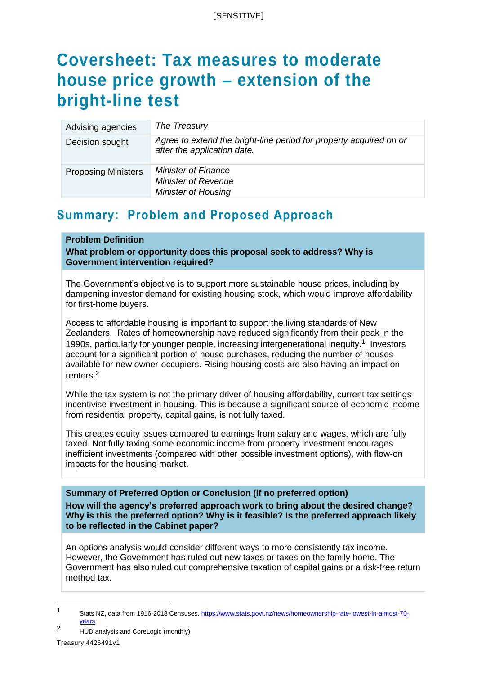# **Coversheet: Tax measures to moderate house price growth – extension of the bright-line test**

| Advising agencies          | The Treasury                                                                                      |
|----------------------------|---------------------------------------------------------------------------------------------------|
| Decision sought            | Agree to extend the bright-line period for property acquired on or<br>after the application date. |
| <b>Proposing Ministers</b> | <b>Minister of Finance</b><br><b>Minister of Revenue</b><br><b>Minister of Housing</b>            |

## **Summary: Problem and Proposed Approach**

## **Problem Definition**

**What problem or opportunity does this proposal seek to address? Why is Government intervention required?**

The Government's objective is to support more sustainable house prices, including by dampening investor demand for existing housing stock, which would improve affordability for first-home buyers.

Access to affordable housing is important to support the living standards of New Zealanders. Rates of homeownership have reduced significantly from their peak in the 1990s, particularly for younger people, increasing intergenerational inequity.<sup>1</sup> Investors account for a significant portion of house purchases, reducing the number of houses available for new owner-occupiers. Rising housing costs are also having an impact on renters.<sup>2</sup>

While the tax system is not the primary driver of housing affordability, current tax settings incentivise investment in housing. This is because a significant source of economic income from residential property, capital gains, is not fully taxed.

This creates equity issues compared to earnings from salary and wages, which are fully taxed. Not fully taxing some economic income from property investment encourages inefficient investments (compared with other possible investment options), with flow-on impacts for the housing market.

**Summary of Preferred Option or Conclusion (if no preferred option) How will the agency's preferred approach work to bring about the desired change? Why is this the preferred option? Why is it feasible? Is the preferred approach likely to be reflected in the Cabinet paper?**

An options analysis would consider different ways to more consistently tax income. However, the Government has ruled out new taxes or taxes on the family home. The Government has also ruled out comprehensive taxation of capital gains or a risk-free return method tax.

<sup>1</sup> Stats NZ, data from 1916-2018 Censuses[. https://www.stats.govt.nz/news/homeownership-rate-lowest-in-almost-70](https://www.stats.govt.nz/news/homeownership-rate-lowest-in-almost-70-years) [years](https://www.stats.govt.nz/news/homeownership-rate-lowest-in-almost-70-years)

Treasury:4426491v1 <sup>2</sup> HUD analysis and CoreLogic (monthly)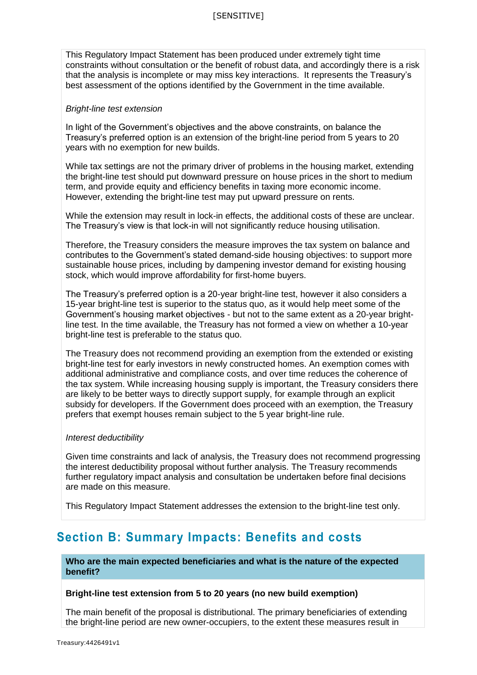This Regulatory Impact Statement has been produced under extremely tight time constraints without consultation or the benefit of robust data, and accordingly there is a risk that the analysis is incomplete or may miss key interactions. It represents the Treasury's best assessment of the options identified by the Government in the time available.

#### *Bright-line test extension*

In light of the Government's objectives and the above constraints, on balance the Treasury's preferred option is an extension of the bright-line period from 5 years to 20 years with no exemption for new builds.

While tax settings are not the primary driver of problems in the housing market, extending the bright-line test should put downward pressure on house prices in the short to medium term, and provide equity and efficiency benefits in taxing more economic income. However, extending the bright-line test may put upward pressure on rents.

While the extension may result in lock-in effects, the additional costs of these are unclear. The Treasury's view is that lock-in will not significantly reduce housing utilisation.

Therefore, the Treasury considers the measure improves the tax system on balance and contributes to the Government's stated demand-side housing objectives: to support more sustainable house prices, including by dampening investor demand for existing housing stock, which would improve affordability for first-home buyers.

The Treasury's preferred option is a 20-year bright-line test, however it also considers a 15-year bright-line test is superior to the status quo, as it would help meet some of the Government's housing market objectives - but not to the same extent as a 20-year brightline test. In the time available, the Treasury has not formed a view on whether a 10-year bright-line test is preferable to the status quo.

The Treasury does not recommend providing an exemption from the extended or existing bright-line test for early investors in newly constructed homes. An exemption comes with additional administrative and compliance costs, and over time reduces the coherence of the tax system. While increasing housing supply is important, the Treasury considers there are likely to be better ways to directly support supply, for example through an explicit subsidy for developers. If the Government does proceed with an exemption, the Treasury prefers that exempt houses remain subject to the 5 year bright-line rule.

#### *Interest deductibility*

Given time constraints and lack of analysis, the Treasury does not recommend progressing the interest deductibility proposal without further analysis. The Treasury recommends further regulatory impact analysis and consultation be undertaken before final decisions are made on this measure.

This Regulatory Impact Statement addresses the extension to the bright-line test only.

## **Section B: Summary Impacts: Benefits and costs**

**Who are the main expected beneficiaries and what is the nature of the expected benefit?**

#### **Bright-line test extension from 5 to 20 years (no new build exemption)**

The main benefit of the proposal is distributional. The primary beneficiaries of extending the bright-line period are new owner-occupiers, to the extent these measures result in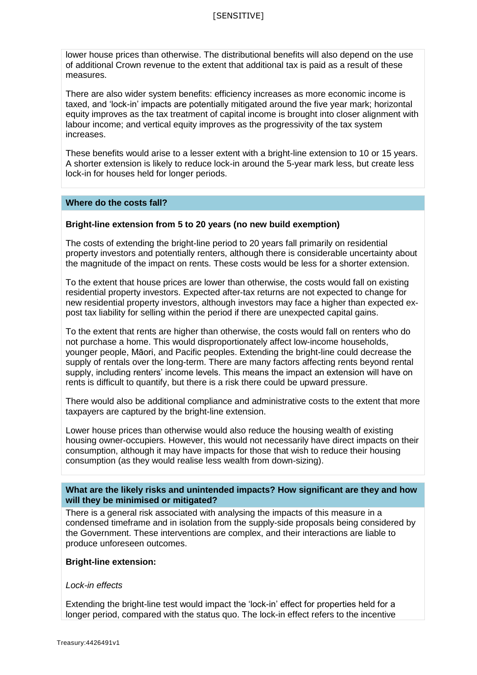lower house prices than otherwise. The distributional benefits will also depend on the use of additional Crown revenue to the extent that additional tax is paid as a result of these measures.

There are also wider system benefits: efficiency increases as more economic income is taxed, and 'lock-in' impacts are potentially mitigated around the five year mark; horizontal equity improves as the tax treatment of capital income is brought into closer alignment with labour income; and vertical equity improves as the progressivity of the tax system increases.

These benefits would arise to a lesser extent with a bright-line extension to 10 or 15 years. A shorter extension is likely to reduce lock-in around the 5-year mark less, but create less lock-in for houses held for longer periods.

#### **Where do the costs fall?**

#### **Bright-line extension from 5 to 20 years (no new build exemption)**

The costs of extending the bright-line period to 20 years fall primarily on residential property investors and potentially renters, although there is considerable uncertainty about the magnitude of the impact on rents. These costs would be less for a shorter extension.

To the extent that house prices are lower than otherwise, the costs would fall on existing residential property investors. Expected after-tax returns are not expected to change for new residential property investors, although investors may face a higher than expected expost tax liability for selling within the period if there are unexpected capital gains.

To the extent that rents are higher than otherwise, the costs would fall on renters who do not purchase a home. This would disproportionately affect low-income households, younger people, Māori, and Pacific peoples. Extending the bright-line could decrease the supply of rentals over the long-term. There are many factors affecting rents beyond rental supply, including renters' income levels. This means the impact an extension will have on rents is difficult to quantify, but there is a risk there could be upward pressure.

There would also be additional compliance and administrative costs to the extent that more taxpayers are captured by the bright-line extension.

Lower house prices than otherwise would also reduce the housing wealth of existing housing owner-occupiers. However, this would not necessarily have direct impacts on their consumption, although it may have impacts for those that wish to reduce their housing consumption (as they would realise less wealth from down-sizing).

## **What are the likely risks and unintended impacts? How significant are they and how will they be minimised or mitigated?**

There is a general risk associated with analysing the impacts of this measure in a condensed timeframe and in isolation from the supply-side proposals being considered by the Government. These interventions are complex, and their interactions are liable to produce unforeseen outcomes.

#### **Bright-line extension:**

#### *Lock-in effects*

Extending the bright-line test would impact the 'lock-in' effect for properties held for a longer period, compared with the status quo. The lock-in effect refers to the incentive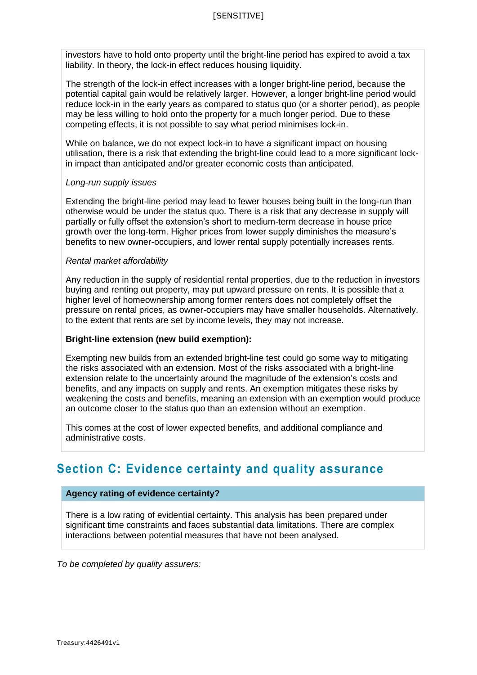investors have to hold onto property until the bright-line period has expired to avoid a tax liability. In theory, the lock-in effect reduces housing liquidity.

The strength of the lock-in effect increases with a longer bright-line period, because the potential capital gain would be relatively larger. However, a longer bright-line period would reduce lock-in in the early years as compared to status quo (or a shorter period), as people may be less willing to hold onto the property for a much longer period. Due to these competing effects, it is not possible to say what period minimises lock-in.

While on balance, we do not expect lock-in to have a significant impact on housing utilisation, there is a risk that extending the bright-line could lead to a more significant lockin impact than anticipated and/or greater economic costs than anticipated.

#### *Long-run supply issues*

Extending the bright-line period may lead to fewer houses being built in the long-run than otherwise would be under the status quo. There is a risk that any decrease in supply will partially or fully offset the extension's short to medium-term decrease in house price growth over the long-term. Higher prices from lower supply diminishes the measure's benefits to new owner-occupiers, and lower rental supply potentially increases rents.

#### *Rental market affordability*

Any reduction in the supply of residential rental properties, due to the reduction in investors buying and renting out property, may put upward pressure on rents. It is possible that a higher level of homeownership among former renters does not completely offset the pressure on rental prices, as owner-occupiers may have smaller households. Alternatively, to the extent that rents are set by income levels, they may not increase.

#### **Bright-line extension (new build exemption):**

Exempting new builds from an extended bright-line test could go some way to mitigating the risks associated with an extension. Most of the risks associated with a bright-line extension relate to the uncertainty around the magnitude of the extension's costs and benefits, and any impacts on supply and rents. An exemption mitigates these risks by weakening the costs and benefits, meaning an extension with an exemption would produce an outcome closer to the status quo than an extension without an exemption.

This comes at the cost of lower expected benefits, and additional compliance and administrative costs.

## **Section C: Evidence certainty and quality assurance**

#### **Agency rating of evidence certainty?**

There is a low rating of evidential certainty. This analysis has been prepared under significant time constraints and faces substantial data limitations. There are complex interactions between potential measures that have not been analysed.

*To be completed by quality assurers:*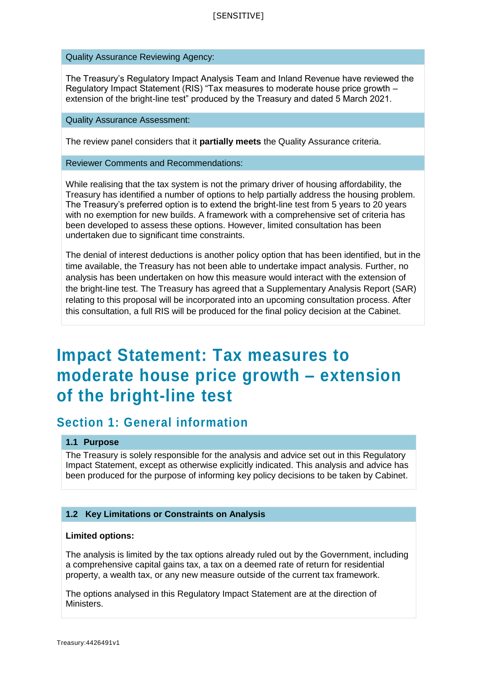Quality Assurance Reviewing Agency:

The Treasury's Regulatory Impact Analysis Team and Inland Revenue have reviewed the Regulatory Impact Statement (RIS) "Tax measures to moderate house price growth – extension of the bright-line test" produced by the Treasury and dated 5 March 2021.

Quality Assurance Assessment:

The review panel considers that it **partially meets** the Quality Assurance criteria.

Reviewer Comments and Recommendations:

While realising that the tax system is not the primary driver of housing affordability, the Treasury has identified a number of options to help partially address the housing problem. The Treasury's preferred option is to extend the bright-line test from 5 years to 20 years with no exemption for new builds. A framework with a comprehensive set of criteria has been developed to assess these options. However, limited consultation has been undertaken due to significant time constraints.

The denial of interest deductions is another policy option that has been identified, but in the time available, the Treasury has not been able to undertake impact analysis. Further, no analysis has been undertaken on how this measure would interact with the extension of the bright-line test. The Treasury has agreed that a Supplementary Analysis Report (SAR) relating to this proposal will be incorporated into an upcoming consultation process. After this consultation, a full RIS will be produced for the final policy decision at the Cabinet.

# **Impact Statement: Tax measures to moderate house price growth – extension of the bright-line test**

## **Section 1: General information**

## **1.1 Purpose**

The Treasury is solely responsible for the analysis and advice set out in this Regulatory Impact Statement, except as otherwise explicitly indicated. This analysis and advice has been produced for the purpose of informing key policy decisions to be taken by Cabinet.

## **1.2 Key Limitations or Constraints on Analysis**

#### **Limited options:**

The analysis is limited by the tax options already ruled out by the Government, including a comprehensive capital gains tax, a tax on a deemed rate of return for residential property, a wealth tax, or any new measure outside of the current tax framework.

The options analysed in this Regulatory Impact Statement are at the direction of Ministers.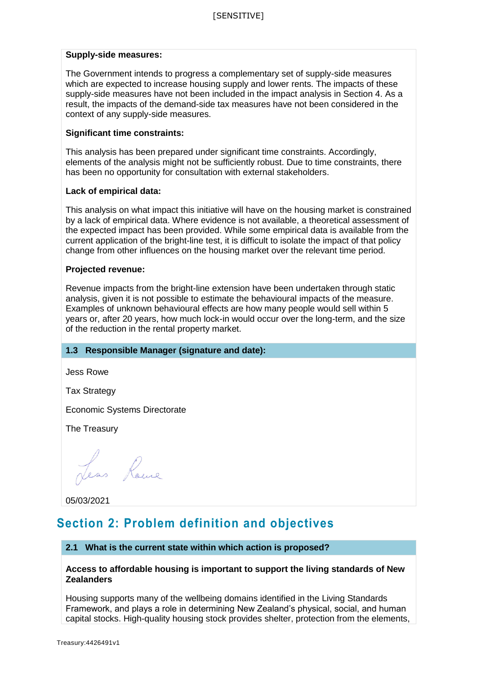## **Supply-side measures:**

The Government intends to progress a complementary set of supply-side measures which are expected to increase housing supply and lower rents. The impacts of these supply-side measures have not been included in the impact analysis in Section 4. As a result, the impacts of the demand-side tax measures have not been considered in the context of any supply-side measures.

#### **Significant time constraints:**

This analysis has been prepared under significant time constraints. Accordingly, elements of the analysis might not be sufficiently robust. Due to time constraints, there has been no opportunity for consultation with external stakeholders.

#### **Lack of empirical data:**

This analysis on what impact this initiative will have on the housing market is constrained by a lack of empirical data. Where evidence is not available, a theoretical assessment of the expected impact has been provided. While some empirical data is available from the current application of the bright-line test, it is difficult to isolate the impact of that policy change from other influences on the housing market over the relevant time period.

#### **Projected revenue:**

Revenue impacts from the bright-line extension have been undertaken through static analysis, given it is not possible to estimate the behavioural impacts of the measure. Examples of unknown behavioural effects are how many people would sell within 5 years or, after 20 years, how much lock-in would occur over the long-term, and the size of the reduction in the rental property market.

#### **1.3 Responsible Manager (signature and date):**

Jess Rowe

Tax Strategy

Economic Systems Directorate

The Treasury

Less Roue

05/03/2021

## **Section 2: Problem definition and objectives**

#### **2.1 What is the current state within which action is proposed?**

#### **Access to affordable housing is important to support the living standards of New Zealanders**

Housing supports many of the wellbeing domains identified in the Living Standards Framework, and plays a role in determining New Zealand's physical, social, and human capital stocks. High-quality housing stock provides shelter, protection from the elements,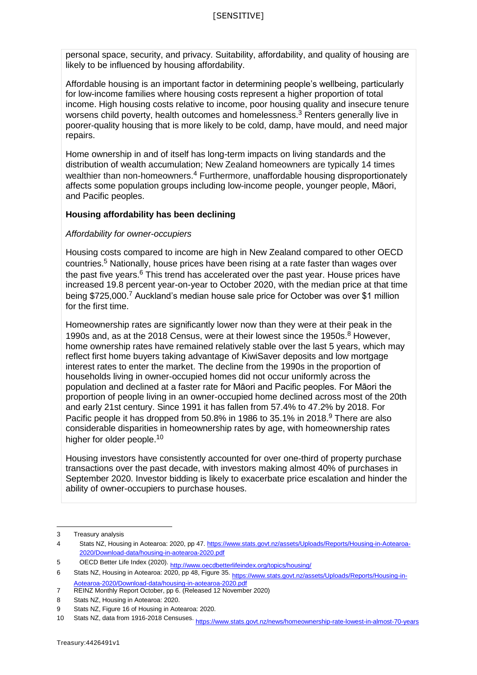personal space, security, and privacy. Suitability, affordability, and quality of housing are likely to be influenced by housing affordability.

Affordable housing is an important factor in determining people's wellbeing, particularly for low-income families where housing costs represent a higher proportion of total income. High housing costs relative to income, poor housing quality and insecure tenure worsens child poverty, health outcomes and homelessness.<sup>3</sup> Renters generally live in poorer-quality housing that is more likely to be cold, damp, have mould, and need major repairs.

Home ownership in and of itself has long-term impacts on living standards and the distribution of wealth accumulation; New Zealand homeowners are typically 14 times wealthier than non-homeowners.<sup>4</sup> Furthermore, unaffordable housing disproportionately affects some population groups including low-income people, younger people, Māori, and Pacific peoples.

## **Housing affordability has been declining**

## *Affordability for owner-occupiers*

Housing costs compared to income are high in New Zealand compared to other OECD countries. <sup>5</sup> Nationally, house prices have been rising at a rate faster than wages over the past five years.<sup>6</sup> This trend has accelerated over the past year. House prices have increased 19.8 percent year-on-year to October 2020, with the median price at that time being \$725,000.<sup>7</sup> Auckland's median house sale price for October was over \$1 million for the first time.

Homeownership rates are significantly lower now than they were at their peak in the 1990s and, as at the 2018 Census, were at their lowest since the 1950s. <sup>8</sup> However, home ownership rates have remained relatively stable over the last 5 years, which may reflect first home buyers taking advantage of KiwiSaver deposits and low mortgage interest rates to enter the market. The decline from the 1990s in the proportion of households living in owner-occupied homes did not occur uniformly across the population and declined at a faster rate for Māori and Pacific peoples. For Māori the proportion of people living in an owner-occupied home declined across most of the 20th and early 21st century. Since 1991 it has fallen from 57.4% to 47.2% by 2018. For Pacific people it has dropped from 50.8% in 1986 to 35.1% in 2018.<sup>9</sup> There are also considerable disparities in homeownership rates by age, with homeownership rates higher for older people.<sup>10</sup>

Housing investors have consistently accounted for over one-third of property purchase transactions over the past decade, with investors making almost 40% of purchases in September 2020. Investor bidding is likely to exacerbate price escalation and hinder the ability of owner-occupiers to purchase houses.

<sup>3</sup> Treasury analysis

<sup>4</sup> Stats NZ, Housing in Aotearoa: 2020, pp 47[. https://www.stats.govt.nz/assets/Uploads/Reports/Housing-in-Aotearoa-](https://www.stats.govt.nz/assets/Uploads/Reports/Housing-in-Aotearoa-2020/Download-data/housing-in-aotearoa-2020.pdf)[2020/Download-data/housing-in-aotearoa-2020.pdf](https://www.stats.govt.nz/assets/Uploads/Reports/Housing-in-Aotearoa-2020/Download-data/housing-in-aotearoa-2020.pdf)

<sup>5</sup> OECD Better Life Index (2020)[. http://www.oecdbetterlifeindex.org/topics/housing/](http://www.oecdbetterlifeindex.org/topics/housing/)<br>6 Stats N7. Housing in Aotearoa: 2020. pp. 48. Figure 35. . . . . . .

Stats NZ, Housing in Aotearoa: 2020, pp 48, Figure 35[. https://www.stats.govt.nz/assets/Uploads/Reports/Housing-in-](https://www.stats.govt.nz/assets/Uploads/Reports/Housing-in-Aotearoa-2020/Download-data/housing-in-aotearoa-2020.pdf)[Aotearoa-2020/Download-data/housing-in-aotearoa-2020.pdf](https://www.stats.govt.nz/assets/Uploads/Reports/Housing-in-Aotearoa-2020/Download-data/housing-in-aotearoa-2020.pdf)

<sup>7</sup> REINZ Monthly Report October, pp 6. (Released 12 November 2020)

<sup>8</sup> Stats NZ, Housing in Aotearoa: 2020.

<sup>9</sup> Stats NZ, Figure 16 of Housing in Aotearoa: 2020.

<sup>10</sup> Stats NZ, data from 1916-2018 Censuses[. https://www.stats.govt.nz/news/homeownership-rate-lowest-in-almost-70-years](https://www.stats.govt.nz/news/homeownership-rate-lowest-in-almost-70-years)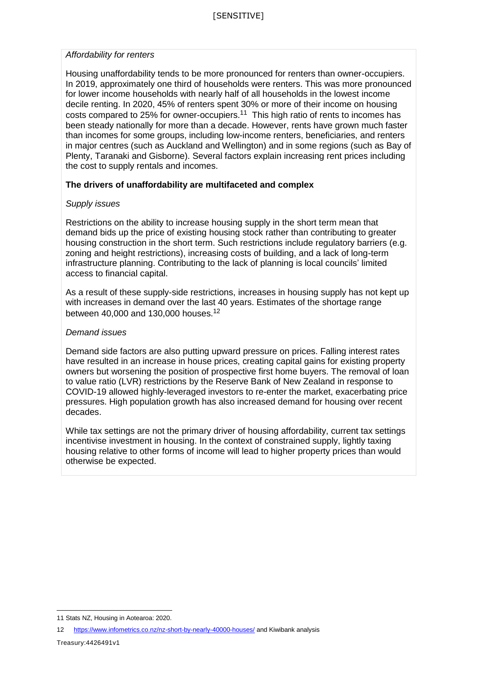#### *Affordability for renters*

Housing unaffordability tends to be more pronounced for renters than owner-occupiers. In 2019, approximately one third of households were renters. This was more pronounced for lower income households with nearly half of all households in the lowest income decile renting. In 2020, 45% of renters spent 30% or more of their income on housing costs compared to 25% for owner-occupiers.<sup>11</sup> This high ratio of rents to incomes has been steady nationally for more than a decade. However, rents have grown much faster than incomes for some groups, including low-income renters, beneficiaries, and renters in major centres (such as Auckland and Wellington) and in some regions (such as Bay of Plenty, Taranaki and Gisborne). Several factors explain increasing rent prices including the cost to supply rentals and incomes.

## **The drivers of unaffordability are multifaceted and complex**

## *Supply issues*

Restrictions on the ability to increase housing supply in the short term mean that demand bids up the price of existing housing stock rather than contributing to greater housing construction in the short term. Such restrictions include regulatory barriers (e.g. zoning and height restrictions), increasing costs of building, and a lack of long-term infrastructure planning. Contributing to the lack of planning is local councils' limited access to financial capital.

As a result of these supply-side restrictions, increases in housing supply has not kept up with increases in demand over the last 40 years. Estimates of the shortage range between 40,000 and 130,000 houses.<sup>12</sup>

## *Demand issues*

Demand side factors are also putting upward pressure on prices. Falling interest rates have resulted in an increase in house prices, creating capital gains for existing property owners but worsening the position of prospective first home buyers. The removal of loan to value ratio (LVR) restrictions by the Reserve Bank of New Zealand in response to COVID-19 allowed highly-leveraged investors to re-enter the market, exacerbating price pressures. High population growth has also increased demand for housing over recent decades.

While tax settings are not the primary driver of housing affordability, current tax settings incentivise investment in housing. In the context of constrained supply, lightly taxing housing relative to other forms of income will lead to higher property prices than would otherwise be expected.

12 <https://www.infometrics.co.nz/nz-short-by-nearly-40000-houses/> and Kiwibank analysis

 $\overline{a}$ 11 Stats NZ, Housing in Aotearoa: 2020.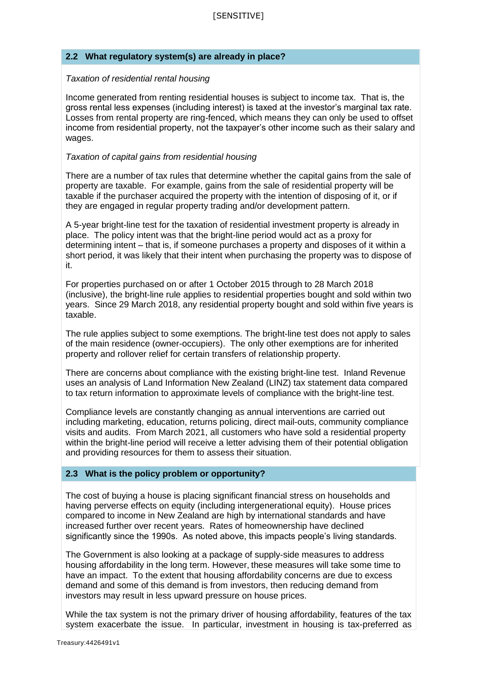## **2.2 What regulatory system(s) are already in place?**

#### *Taxation of residential rental housing*

Income generated from renting residential houses is subject to income tax. That is, the gross rental less expenses (including interest) is taxed at the investor's marginal tax rate. Losses from rental property are ring-fenced, which means they can only be used to offset income from residential property, not the taxpayer's other income such as their salary and wages.

#### *Taxation of capital gains from residential housing*

There are a number of tax rules that determine whether the capital gains from the sale of property are taxable. For example, gains from the sale of residential property will be taxable if the purchaser acquired the property with the intention of disposing of it, or if they are engaged in regular property trading and/or development pattern.

A 5-year bright-line test for the taxation of residential investment property is already in place. The policy intent was that the bright-line period would act as a proxy for determining intent – that is, if someone purchases a property and disposes of it within a short period, it was likely that their intent when purchasing the property was to dispose of it.

For properties purchased on or after 1 October 2015 through to 28 March 2018 (inclusive), the bright-line rule applies to residential properties bought and sold within two years. Since 29 March 2018, any residential property bought and sold within five years is taxable.

The rule applies subject to some exemptions. The bright-line test does not apply to sales of the main residence (owner-occupiers). The only other exemptions are for inherited property and rollover relief for certain transfers of relationship property.

There are concerns about compliance with the existing bright-line test. Inland Revenue uses an analysis of Land Information New Zealand (LINZ) tax statement data compared to tax return information to approximate levels of compliance with the bright-line test.

Compliance levels are constantly changing as annual interventions are carried out including marketing, education, returns policing, direct mail-outs, community compliance visits and audits. From March 2021, all customers who have sold a residential property within the bright-line period will receive a letter advising them of their potential obligation and providing resources for them to assess their situation.

#### **2.3 What is the policy problem or opportunity?**

The cost of buying a house is placing significant financial stress on households and having perverse effects on equity (including intergenerational equity). House prices compared to income in New Zealand are high by international standards and have increased further over recent years. Rates of homeownership have declined significantly since the 1990s. As noted above, this impacts people's living standards.

The Government is also looking at a package of supply-side measures to address housing affordability in the long term. However, these measures will take some time to have an impact. To the extent that housing affordability concerns are due to excess demand and some of this demand is from investors, then reducing demand from investors may result in less upward pressure on house prices.

While the tax system is not the primary driver of housing affordability, features of the tax system exacerbate the issue. In particular, investment in housing is tax-preferred as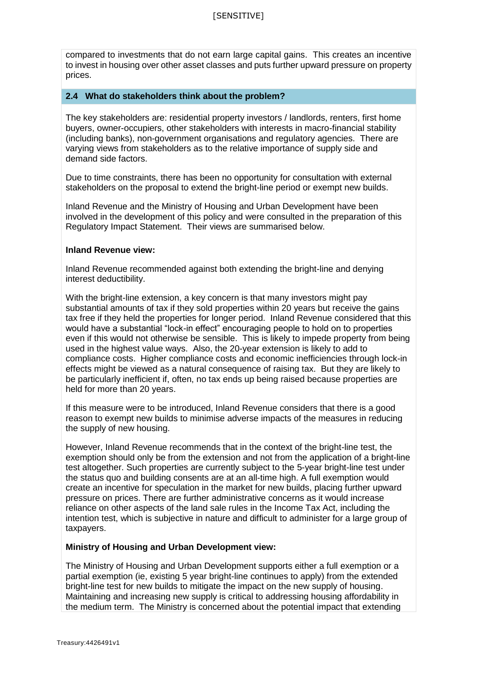compared to investments that do not earn large capital gains. This creates an incentive to invest in housing over other asset classes and puts further upward pressure on property prices.

## **2.4 What do stakeholders think about the problem?**

The key stakeholders are: residential property investors / landlords, renters, first home buyers, owner-occupiers, other stakeholders with interests in macro-financial stability (including banks), non-government organisations and regulatory agencies. There are varying views from stakeholders as to the relative importance of supply side and demand side factors.

Due to time constraints, there has been no opportunity for consultation with external stakeholders on the proposal to extend the bright-line period or exempt new builds.

Inland Revenue and the Ministry of Housing and Urban Development have been involved in the development of this policy and were consulted in the preparation of this Regulatory Impact Statement. Their views are summarised below.

#### **Inland Revenue view:**

Inland Revenue recommended against both extending the bright-line and denying interest deductibility.

With the bright-line extension, a key concern is that many investors might pay substantial amounts of tax if they sold properties within 20 years but receive the gains tax free if they held the properties for longer period. Inland Revenue considered that this would have a substantial "lock-in effect" encouraging people to hold on to properties even if this would not otherwise be sensible. This is likely to impede property from being used in the highest value ways. Also, the 20-year extension is likely to add to compliance costs. Higher compliance costs and economic inefficiencies through lock-in effects might be viewed as a natural consequence of raising tax. But they are likely to be particularly inefficient if, often, no tax ends up being raised because properties are held for more than 20 years.

If this measure were to be introduced, Inland Revenue considers that there is a good reason to exempt new builds to minimise adverse impacts of the measures in reducing the supply of new housing.

However, Inland Revenue recommends that in the context of the bright-line test, the exemption should only be from the extension and not from the application of a bright-line test altogether. Such properties are currently subject to the 5-year bright-line test under the status quo and building consents are at an all-time high. A full exemption would create an incentive for speculation in the market for new builds, placing further upward pressure on prices. There are further administrative concerns as it would increase reliance on other aspects of the land sale rules in the Income Tax Act, including the intention test, which is subjective in nature and difficult to administer for a large group of taxpayers.

## **Ministry of Housing and Urban Development view:**

The Ministry of Housing and Urban Development supports either a full exemption or a partial exemption (ie, existing 5 year bright-line continues to apply) from the extended bright-line test for new builds to mitigate the impact on the new supply of housing. Maintaining and increasing new supply is critical to addressing housing affordability in the medium term. The Ministry is concerned about the potential impact that extending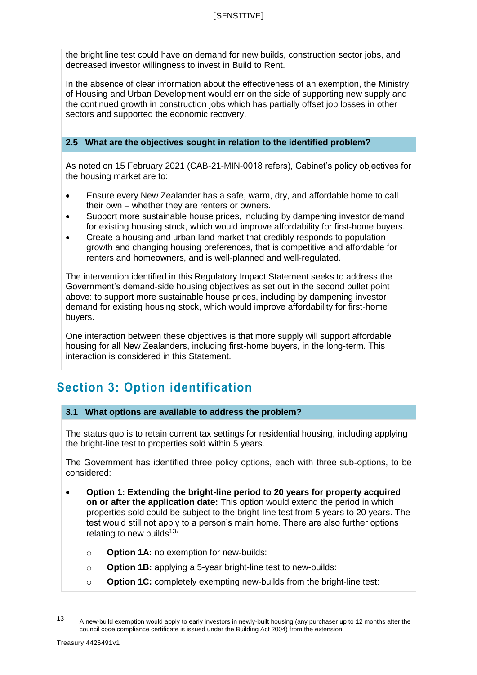the bright line test could have on demand for new builds, construction sector jobs, and decreased investor willingness to invest in Build to Rent.

In the absence of clear information about the effectiveness of an exemption, the Ministry of Housing and Urban Development would err on the side of supporting new supply and the continued growth in construction jobs which has partially offset job losses in other sectors and supported the economic recovery.

## **2.5 What are the objectives sought in relation to the identified problem?**

As noted on 15 February 2021 (CAB-21-MIN-0018 refers), Cabinet's policy objectives for the housing market are to:

- Ensure every New Zealander has a safe, warm, dry, and affordable home to call their own – whether they are renters or owners.
- Support more sustainable house prices, including by dampening investor demand for existing housing stock, which would improve affordability for first-home buyers.
- Create a housing and urban land market that credibly responds to population growth and changing housing preferences, that is competitive and affordable for renters and homeowners, and is well-planned and well-regulated.

The intervention identified in this Regulatory Impact Statement seeks to address the Government's demand-side housing objectives as set out in the second bullet point above: to support more sustainable house prices, including by dampening investor demand for existing housing stock, which would improve affordability for first-home buyers.

One interaction between these objectives is that more supply will support affordable housing for all New Zealanders, including first-home buyers, in the long-term. This interaction is considered in this Statement.

## **Section 3: Option identification**

## **3.1 What options are available to address the problem?**

The status quo is to retain current tax settings for residential housing, including applying the bright-line test to properties sold within 5 years.

The Government has identified three policy options, each with three sub-options, to be considered:

- **Option 1: Extending the bright-line period to 20 years for property acquired on or after the application date:** This option would extend the period in which properties sold could be subject to the bright-line test from 5 years to 20 years. The test would still not apply to a person's main home. There are also further options relating to new builds<sup>13</sup>:
	- o **Option 1A:** no exemption for new-builds:
	- o **Option 1B:** applying a 5-year bright-line test to new-builds:
	- o **Option 1C:** completely exempting new-builds from the bright-line test:

 $\overline{a}$ 

<sup>13</sup> A new-build exemption would apply to early investors in newly-built housing (any purchaser up to 12 months after the council code compliance certificate is issued under the Building Act 2004) from the extension.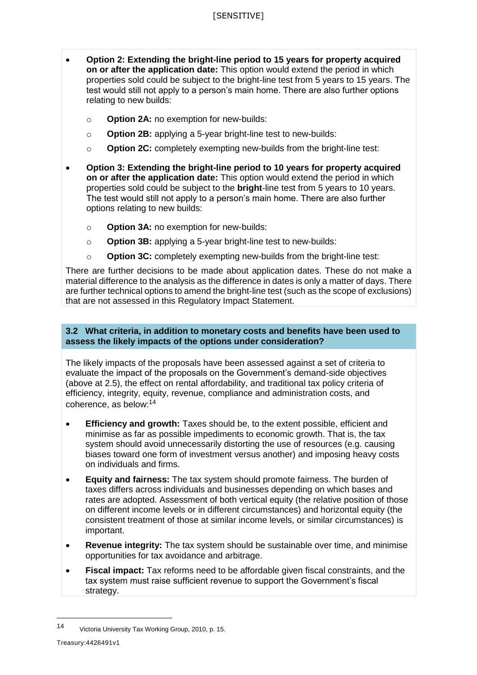- **Option 2: Extending the bright-line period to 15 years for property acquired on or after the application date:** This option would extend the period in which properties sold could be subject to the bright-line test from 5 years to 15 years. The test would still not apply to a person's main home. There are also further options relating to new builds:
	- o **Option 2A:** no exemption for new-builds:
	- o **Option 2B:** applying a 5-year bright-line test to new-builds:
	- o **Option 2C:** completely exempting new-builds from the bright-line test:
- **Option 3: Extending the bright-line period to 10 years for property acquired on or after the application date:** This option would extend the period in which properties sold could be subject to the **bright**-line test from 5 years to 10 years. The test would still not apply to a person's main home. There are also further options relating to new builds:
	- o **Option 3A:** no exemption for new-builds:
	- o **Option 3B:** applying a 5-year bright-line test to new-builds:
	- o **Option 3C:** completely exempting new-builds from the bright-line test:

There are further decisions to be made about application dates. These do not make a material difference to the analysis as the difference in dates is only a matter of days. There are further technical options to amend the bright-line test (such as the scope of exclusions) that are not assessed in this Regulatory Impact Statement.

## **3.2 What criteria, in addition to monetary costs and benefits have been used to assess the likely impacts of the options under consideration?**

The likely impacts of the proposals have been assessed against a set of criteria to evaluate the impact of the proposals on the Government's demand-side objectives (above at 2.5), the effect on rental affordability, and traditional tax policy criteria of efficiency, integrity, equity, revenue, compliance and administration costs, and coherence, as below:<sup>14</sup>

- **Efficiency and growth:** Taxes should be, to the extent possible, efficient and minimise as far as possible impediments to economic growth. That is, the tax system should avoid unnecessarily distorting the use of resources (e.g. causing biases toward one form of investment versus another) and imposing heavy costs on individuals and firms.
- **Equity and fairness:** The tax system should promote fairness. The burden of taxes differs across individuals and businesses depending on which bases and rates are adopted. Assessment of both vertical equity (the relative position of those on different income levels or in different circumstances) and horizontal equity (the consistent treatment of those at similar income levels, or similar circumstances) is important.
- **Revenue integrity:** The tax system should be sustainable over time, and minimise opportunities for tax avoidance and arbitrage.
- **Fiscal impact:** Tax reforms need to be affordable given fiscal constraints, and the tax system must raise sufficient revenue to support the Government's fiscal strategy.

<sup>14</sup> Victoria University Tax Working Group, 2010, p. 15.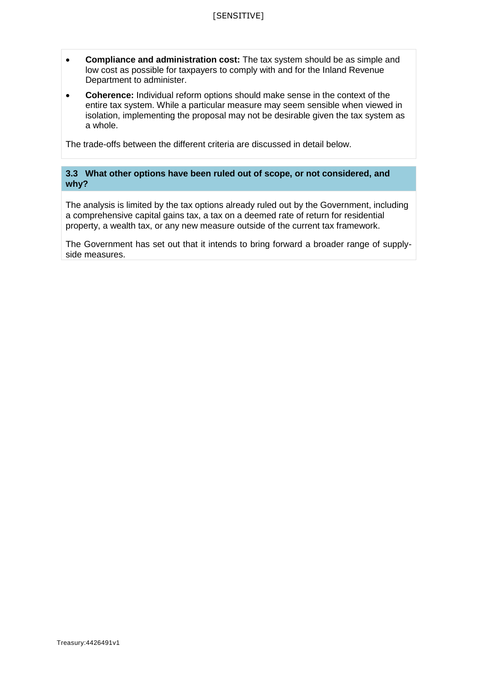- **Compliance and administration cost:** The tax system should be as simple and low cost as possible for taxpayers to comply with and for the Inland Revenue Department to administer.
- **Coherence:** Individual reform options should make sense in the context of the entire tax system. While a particular measure may seem sensible when viewed in isolation, implementing the proposal may not be desirable given the tax system as a whole.

The trade-offs between the different criteria are discussed in detail below.

## **3.3 What other options have been ruled out of scope, or not considered, and why?**

The analysis is limited by the tax options already ruled out by the Government, including a comprehensive capital gains tax, a tax on a deemed rate of return for residential property, a wealth tax, or any new measure outside of the current tax framework.

The Government has set out that it intends to bring forward a broader range of supplyside measures.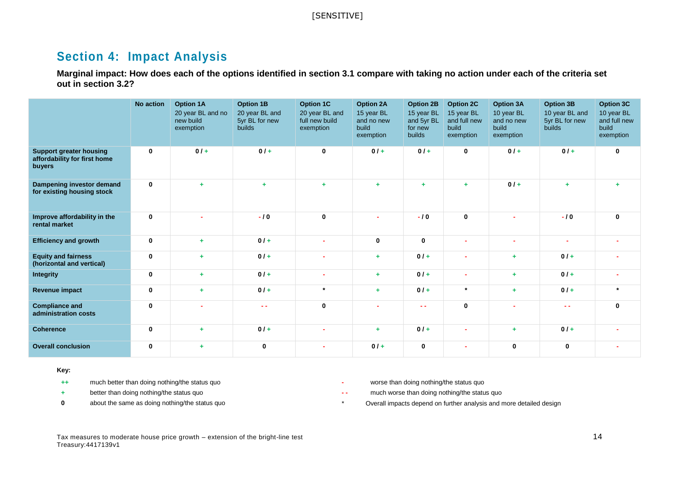## **Section 4: Impact Analysis**

**Marginal impact: How does each of the options identified in section 3.1 compare with taking no action under each of the criteria set out in section 3.2?**

|                                                                          | No action    | <b>Option 1A</b><br>20 year BL and no<br>new build<br>exemption | <b>Option 1B</b><br>20 year BL and<br>5yr BL for new<br>builds | <b>Option 1C</b><br>20 year BL and<br>full new build<br>exemption | <b>Option 2A</b><br>15 year BL<br>and no new<br>build<br>exemption | <b>Option 2B</b><br>15 year BL<br>and 5yr BL<br>for new<br>builds | <b>Option 2C</b><br>15 year BL<br>and full new<br>build<br>exemption | <b>Option 3A</b><br>10 year BL<br>and no new<br>build<br>exemption | <b>Option 3B</b><br>10 year BL and<br>5yr BL for new<br><b>builds</b> | Option 3C<br>10 year BL<br>and full new<br>build<br>exemption |
|--------------------------------------------------------------------------|--------------|-----------------------------------------------------------------|----------------------------------------------------------------|-------------------------------------------------------------------|--------------------------------------------------------------------|-------------------------------------------------------------------|----------------------------------------------------------------------|--------------------------------------------------------------------|-----------------------------------------------------------------------|---------------------------------------------------------------|
| <b>Support greater housing</b><br>affordability for first home<br>buyers | $\mathbf 0$  | $0/$ +                                                          | 0/4                                                            | 0                                                                 | $0/$ +                                                             | 0/4                                                               | $\mathbf 0$                                                          | $0/+$                                                              | $0/$ +                                                                | $\mathbf{0}$                                                  |
| Dampening investor demand<br>for existing housing stock                  | $\mathbf{0}$ | ÷                                                               | ÷                                                              | ÷.                                                                | ÷                                                                  | ÷                                                                 | ÷.                                                                   | $0/$ +                                                             |                                                                       |                                                               |
| Improve affordability in the<br>rental market                            | $\mathbf{0}$ |                                                                 | $-10$                                                          | $\mathbf 0$                                                       |                                                                    | $-10$                                                             | $\mathbf 0$                                                          |                                                                    | $-10$                                                                 | $\mathbf{0}$                                                  |
| <b>Efficiency and growth</b>                                             | $\mathbf 0$  | ÷.                                                              | $0/$ +                                                         |                                                                   | $\bf{0}$                                                           | $\mathbf 0$                                                       | ٠                                                                    |                                                                    |                                                                       |                                                               |
| <b>Equity and fairness</b><br>(horizontal and vertical)                  | $\mathbf 0$  | ÷                                                               | $0/$ +                                                         |                                                                   | ÷                                                                  | $0/$ +                                                            |                                                                      | ٠                                                                  | $0/$ +                                                                |                                                               |
| Integrity                                                                | $\mathbf{0}$ | ÷.                                                              | $0/$ +                                                         |                                                                   | ÷                                                                  | $0/$ +                                                            | ۰                                                                    | ÷                                                                  | $0/$ +                                                                |                                                               |
| Revenue impact                                                           | $\bf{0}$     | ÷                                                               | 0/4                                                            | $\star$                                                           | ÷                                                                  | 0/4                                                               | $\star$                                                              | ÷                                                                  | $0/$ +                                                                | $\star$                                                       |
| <b>Compliance and</b><br>administration costs                            | $\mathbf{0}$ |                                                                 | - -                                                            | $\mathbf 0$                                                       |                                                                    | - -                                                               | $\mathbf 0$                                                          |                                                                    | $\sim$ $\sim$                                                         | $\bf{0}$                                                      |
| <b>Coherence</b>                                                         | $\mathbf{0}$ | ٠                                                               | $0/$ +                                                         |                                                                   | ÷                                                                  | $0/$ +                                                            | ٠                                                                    | ٠                                                                  | $0/$ +                                                                |                                                               |
| <b>Overall conclusion</b>                                                | $\bf{0}$     | ٠                                                               | $\mathbf 0$                                                    |                                                                   | $0/$ +                                                             | $\mathbf 0$                                                       |                                                                      | $\bf{0}$                                                           | $\mathbf 0$                                                           |                                                               |

#### **Key:**

**++** much better than doing nothing/the status quo **-** worse than doing nothing/the status quo

- 
- 
- 
- **+** better than doing nothing/the status quo **- -** much worse than doing nothing/the status quo
- **0** about the same as doing nothing/the status quo **by a constant of the status** overall impacts depend on further analysis and more detailed design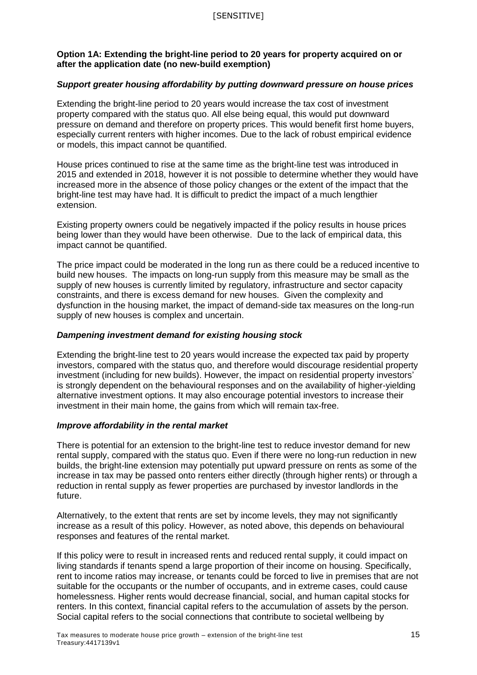## **Option 1A: Extending the bright-line period to 20 years for property acquired on or after the application date (no new-build exemption)**

## *Support greater housing affordability by putting downward pressure on house prices*

Extending the bright-line period to 20 years would increase the tax cost of investment property compared with the status quo. All else being equal, this would put downward pressure on demand and therefore on property prices. This would benefit first home buyers, especially current renters with higher incomes. Due to the lack of robust empirical evidence or models, this impact cannot be quantified.

House prices continued to rise at the same time as the bright-line test was introduced in 2015 and extended in 2018, however it is not possible to determine whether they would have increased more in the absence of those policy changes or the extent of the impact that the bright-line test may have had. It is difficult to predict the impact of a much lengthier extension.

Existing property owners could be negatively impacted if the policy results in house prices being lower than they would have been otherwise. Due to the lack of empirical data, this impact cannot be quantified.

The price impact could be moderated in the long run as there could be a reduced incentive to build new houses. The impacts on long-run supply from this measure may be small as the supply of new houses is currently limited by regulatory, infrastructure and sector capacity constraints, and there is excess demand for new houses. Given the complexity and dysfunction in the housing market, the impact of demand-side tax measures on the long-run supply of new houses is complex and uncertain.

## *Dampening investment demand for existing housing stock*

Extending the bright-line test to 20 years would increase the expected tax paid by property investors, compared with the status quo, and therefore would discourage residential property investment (including for new builds). However, the impact on residential property investors' is strongly dependent on the behavioural responses and on the availability of higher-yielding alternative investment options. It may also encourage potential investors to increase their investment in their main home, the gains from which will remain tax-free.

#### *Improve affordability in the rental market*

There is potential for an extension to the bright-line test to reduce investor demand for new rental supply, compared with the status quo. Even if there were no long-run reduction in new builds, the bright-line extension may potentially put upward pressure on rents as some of the increase in tax may be passed onto renters either directly (through higher rents) or through a reduction in rental supply as fewer properties are purchased by investor landlords in the future.

Alternatively, to the extent that rents are set by income levels, they may not significantly increase as a result of this policy. However, as noted above, this depends on behavioural responses and features of the rental market.

If this policy were to result in increased rents and reduced rental supply, it could impact on living standards if tenants spend a large proportion of their income on housing. Specifically, rent to income ratios may increase, or tenants could be forced to live in premises that are not suitable for the occupants or the number of occupants, and in extreme cases, could cause homelessness. Higher rents would decrease financial, social, and human capital stocks for renters. In this context, financial capital refers to the accumulation of assets by the person. Social capital refers to the social connections that contribute to societal wellbeing by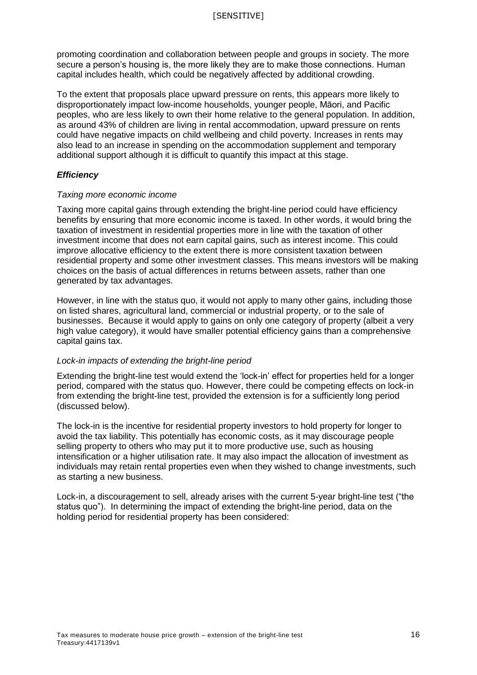promoting coordination and collaboration between people and groups in society. The more secure a person's housing is, the more likely they are to make those connections. Human capital includes health, which could be negatively affected by additional crowding.

To the extent that proposals place upward pressure on rents, this appears more likely to disproportionately impact low-income households, younger people, Māori, and Pacific peoples, who are less likely to own their home relative to the general population. In addition, as around 43% of children are living in rental accommodation, upward pressure on rents could have negative impacts on child wellbeing and child poverty. Increases in rents may also lead to an increase in spending on the accommodation supplement and temporary additional support although it is difficult to quantify this impact at this stage.

## *Efficiency*

## *Taxing more economic income*

Taxing more capital gains through extending the bright-line period could have efficiency benefits by ensuring that more economic income is taxed. In other words, it would bring the taxation of investment in residential properties more in line with the taxation of other investment income that does not earn capital gains, such as interest income. This could improve allocative efficiency to the extent there is more consistent taxation between residential property and some other investment classes. This means investors will be making choices on the basis of actual differences in returns between assets, rather than one generated by tax advantages.

However, in line with the status quo, it would not apply to many other gains, including those on listed shares, agricultural land, commercial or industrial property, or to the sale of businesses. Because it would apply to gains on only one category of property (albeit a very high value category), it would have smaller potential efficiency gains than a comprehensive capital gains tax.

## *Lock-in impacts of extending the bright-line period*

Extending the bright-line test would extend the 'lock-in' effect for properties held for a longer period, compared with the status quo. However, there could be competing effects on lock-in from extending the bright-line test, provided the extension is for a sufficiently long period (discussed below).

The lock-in is the incentive for residential property investors to hold property for longer to avoid the tax liability. This potentially has economic costs, as it may discourage people selling property to others who may put it to more productive use, such as housing intensification or a higher utilisation rate. It may also impact the allocation of investment as individuals may retain rental properties even when they wished to change investments, such as starting a new business.

Lock-in, a discouragement to sell, already arises with the current 5-year bright-line test ("the status quo"). In determining the impact of extending the bright-line period, data on the holding period for residential property has been considered: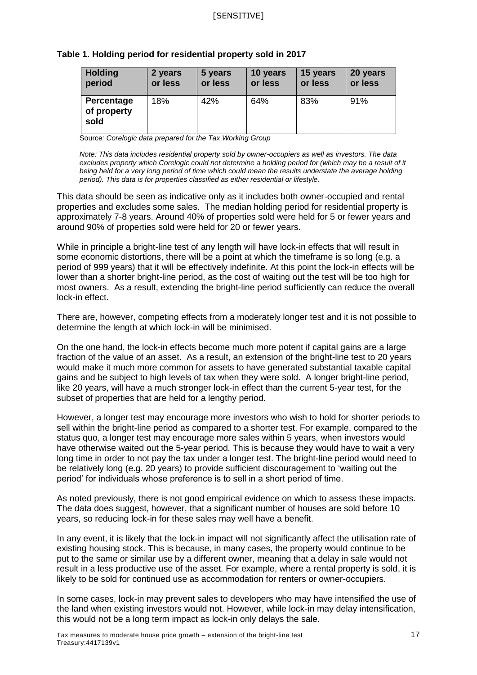| Table 1. Holding period for residential property sold in 2017 |  |
|---------------------------------------------------------------|--|
|---------------------------------------------------------------|--|

| <b>Holding</b>                    | 2 years | 5 years | 10 years | 15 years | 20 years |
|-----------------------------------|---------|---------|----------|----------|----------|
| period                            | or less | or less | or less  | or less  | or less  |
| Percentage<br>of property<br>sold | 18%     | 42%     | 64%      | 83%      | 91%      |

Source*: Corelogic data prepared for the Tax Working Group*

*Note: This data includes residential property sold by owner-occupiers as well as investors. The data excludes property which Corelogic could not determine a holding period for (which may be a result of it being held for a very long period of time which could mean the results understate the average holding period). This data is for properties classified as either residential or lifestyle.* 

This data should be seen as indicative only as it includes both owner-occupied and rental properties and excludes some sales. The median holding period for residential property is approximately 7-8 years. Around 40% of properties sold were held for 5 or fewer years and around 90% of properties sold were held for 20 or fewer years.

While in principle a bright-line test of any length will have lock-in effects that will result in some economic distortions, there will be a point at which the timeframe is so long (e.g. a period of 999 years) that it will be effectively indefinite. At this point the lock-in effects will be lower than a shorter bright-line period, as the cost of waiting out the test will be too high for most owners. As a result, extending the bright-line period sufficiently can reduce the overall lock-in effect.

There are, however, competing effects from a moderately longer test and it is not possible to determine the length at which lock-in will be minimised.

On the one hand, the lock-in effects become much more potent if capital gains are a large fraction of the value of an asset. As a result, an extension of the bright-line test to 20 years would make it much more common for assets to have generated substantial taxable capital gains and be subject to high levels of tax when they were sold. A longer bright-line period, like 20 years, will have a much stronger lock-in effect than the current 5-year test, for the subset of properties that are held for a lengthy period.

However, a longer test may encourage more investors who wish to hold for shorter periods to sell within the bright-line period as compared to a shorter test. For example, compared to the status quo, a longer test may encourage more sales within 5 years, when investors would have otherwise waited out the 5-year period. This is because they would have to wait a very long time in order to not pay the tax under a longer test. The bright-line period would need to be relatively long (e.g. 20 years) to provide sufficient discouragement to 'waiting out the period' for individuals whose preference is to sell in a short period of time.

As noted previously, there is not good empirical evidence on which to assess these impacts. The data does suggest, however, that a significant number of houses are sold before 10 years, so reducing lock-in for these sales may well have a benefit.

In any event, it is likely that the lock-in impact will not significantly affect the utilisation rate of existing housing stock. This is because, in many cases, the property would continue to be put to the same or similar use by a different owner, meaning that a delay in sale would not result in a less productive use of the asset. For example, where a rental property is sold, it is likely to be sold for continued use as accommodation for renters or owner-occupiers.

In some cases, lock-in may prevent sales to developers who may have intensified the use of the land when existing investors would not. However, while lock-in may delay intensification, this would not be a long term impact as lock-in only delays the sale.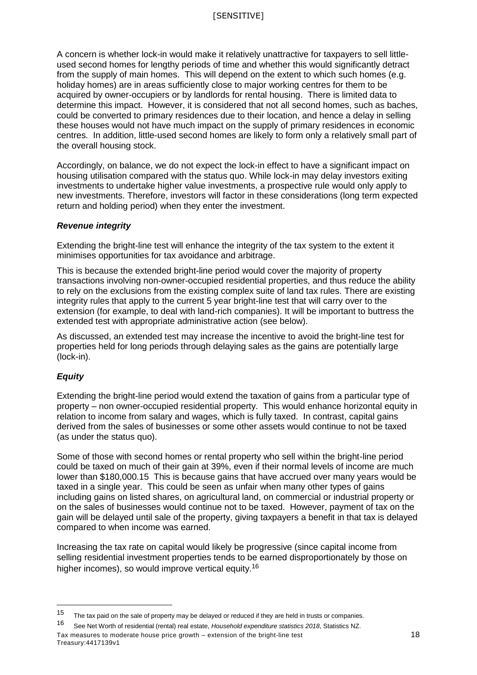## [SENSITIVE]

A concern is whether lock-in would make it relatively unattractive for taxpayers to sell littleused second homes for lengthy periods of time and whether this would significantly detract from the supply of main homes. This will depend on the extent to which such homes (e.g. holiday homes) are in areas sufficiently close to major working centres for them to be acquired by owner-occupiers or by landlords for rental housing. There is limited data to determine this impact. However, it is considered that not all second homes, such as baches, could be converted to primary residences due to their location, and hence a delay in selling these houses would not have much impact on the supply of primary residences in economic centres. In addition, little-used second homes are likely to form only a relatively small part of the overall housing stock.

Accordingly, on balance, we do not expect the lock-in effect to have a significant impact on housing utilisation compared with the status quo. While lock-in may delay investors exiting investments to undertake higher value investments, a prospective rule would only apply to new investments. Therefore, investors will factor in these considerations (long term expected return and holding period) when they enter the investment.

#### *Revenue integrity*

Extending the bright-line test will enhance the integrity of the tax system to the extent it minimises opportunities for tax avoidance and arbitrage.

This is because the extended bright-line period would cover the majority of property transactions involving non-owner-occupied residential properties, and thus reduce the ability to rely on the exclusions from the existing complex suite of land tax rules. There are existing integrity rules that apply to the current 5 year bright-line test that will carry over to the extension (for example, to deal with land-rich companies). It will be important to buttress the extended test with appropriate administrative action (see below).

As discussed, an extended test may increase the incentive to avoid the bright-line test for properties held for long periods through delaying sales as the gains are potentially large (lock-in).

## *Equity*

 $\overline{a}$ 

Extending the bright-line period would extend the taxation of gains from a particular type of property – non owner-occupied residential property. This would enhance horizontal equity in relation to income from salary and wages, which is fully taxed. In contrast, capital gains derived from the sales of businesses or some other assets would continue to not be taxed (as under the status quo).

Some of those with second homes or rental property who sell within the bright-line period could be taxed on much of their gain at 39%, even if their normal levels of income are much lower than \$180,000.15 This is because gains that have accrued over many years would be taxed in a single year. This could be seen as unfair when many other types of gains including gains on listed shares, on agricultural land, on commercial or industrial property or on the sales of businesses would continue not to be taxed. However, payment of tax on the gain will be delayed until sale of the property, giving taxpayers a benefit in that tax is delayed compared to when income was earned.

Increasing the tax rate on capital would likely be progressive (since capital income from selling residential investment properties tends to be earned disproportionately by those on higher incomes), so would improve vertical equity.<sup>16</sup>

<sup>&</sup>lt;sup>15</sup> The tax paid on the sale of property may be delayed or reduced if they are held in trusts or companies.

Tax measures to moderate house price growth – extension of the bright-line test 18 Treasury:4417139v1 <sup>16</sup> See Net Worth of residential (rental) real estate, *Household expenditure statistics 2018*, Statistics NZ.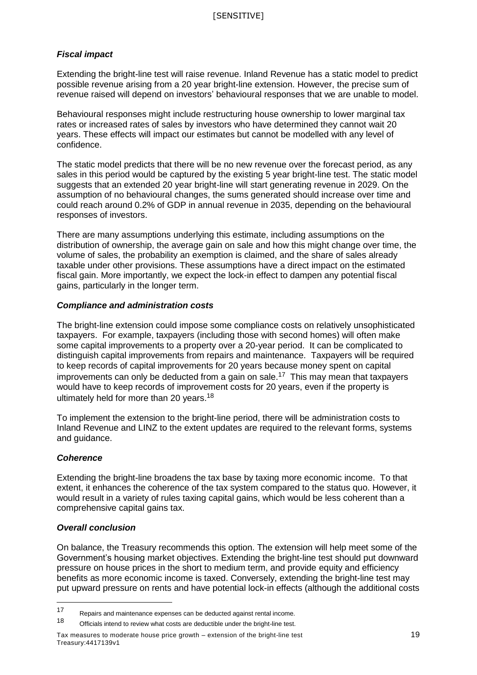## *Fiscal impact*

Extending the bright-line test will raise revenue. Inland Revenue has a static model to predict possible revenue arising from a 20 year bright-line extension. However, the precise sum of revenue raised will depend on investors' behavioural responses that we are unable to model.

Behavioural responses might include restructuring house ownership to lower marginal tax rates or increased rates of sales by investors who have determined they cannot wait 20 years. These effects will impact our estimates but cannot be modelled with any level of confidence.

The static model predicts that there will be no new revenue over the forecast period, as any sales in this period would be captured by the existing 5 year bright-line test. The static model suggests that an extended 20 year bright-line will start generating revenue in 2029. On the assumption of no behavioural changes, the sums generated should increase over time and could reach around 0.2% of GDP in annual revenue in 2035, depending on the behavioural responses of investors.

There are many assumptions underlying this estimate, including assumptions on the distribution of ownership, the average gain on sale and how this might change over time, the volume of sales, the probability an exemption is claimed, and the share of sales already taxable under other provisions. These assumptions have a direct impact on the estimated fiscal gain. More importantly, we expect the lock-in effect to dampen any potential fiscal gains, particularly in the longer term.

## *Compliance and administration costs*

The bright-line extension could impose some compliance costs on relatively unsophisticated taxpayers. For example, taxpayers (including those with second homes) will often make some capital improvements to a property over a 20-year period. It can be complicated to distinguish capital improvements from repairs and maintenance. Taxpayers will be required to keep records of capital improvements for 20 years because money spent on capital improvements can only be deducted from a gain on sale.<sup>17</sup> This may mean that taxpayers would have to keep records of improvement costs for 20 years, even if the property is ultimately held for more than 20 years.<sup>18</sup>

To implement the extension to the bright-line period, there will be administration costs to Inland Revenue and LINZ to the extent updates are required to the relevant forms, systems and guidance.

## *Coherence*

Extending the bright-line broadens the tax base by taxing more economic income. To that extent, it enhances the coherence of the tax system compared to the status quo. However, it would result in a variety of rules taxing capital gains, which would be less coherent than a comprehensive capital gains tax.

## *Overall conclusion*

On balance, the Treasury recommends this option. The extension will help meet some of the Government's housing market objectives. Extending the bright-line test should put downward pressure on house prices in the short to medium term, and provide equity and efficiency benefits as more economic income is taxed. Conversely, extending the bright-line test may put upward pressure on rents and have potential lock-in effects (although the additional costs

 $17$ 17 Repairs and maintenance expenses can be deducted against rental income.<br>18 Curricle intensity and market real age deductible under the bright line test.

Officials intend to review what costs are deductible under the bright-line test.

Tax measures to moderate house price growth – extension of the bright-line test 19 Treasury:4417139v1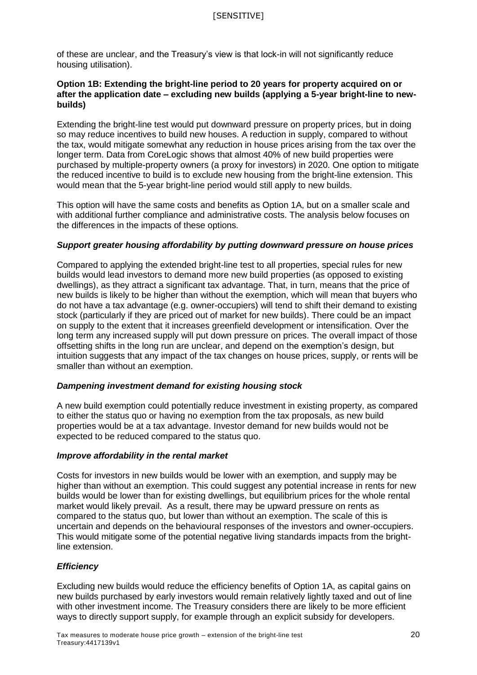of these are unclear, and the Treasury's view is that lock-in will not significantly reduce housing utilisation).

## **Option 1B: Extending the bright-line period to 20 years for property acquired on or after the application date – excluding new builds (applying a 5-year bright-line to newbuilds)**

Extending the bright-line test would put downward pressure on property prices, but in doing so may reduce incentives to build new houses. A reduction in supply, compared to without the tax, would mitigate somewhat any reduction in house prices arising from the tax over the longer term. Data from CoreLogic shows that almost 40% of new build properties were purchased by multiple-property owners (a proxy for investors) in 2020. One option to mitigate the reduced incentive to build is to exclude new housing from the bright-line extension. This would mean that the 5-year bright-line period would still apply to new builds.

This option will have the same costs and benefits as Option 1A, but on a smaller scale and with additional further compliance and administrative costs. The analysis below focuses on the differences in the impacts of these options.

## *Support greater housing affordability by putting downward pressure on house prices*

Compared to applying the extended bright-line test to all properties, special rules for new builds would lead investors to demand more new build properties (as opposed to existing dwellings), as they attract a significant tax advantage. That, in turn, means that the price of new builds is likely to be higher than without the exemption, which will mean that buyers who do not have a tax advantage (e.g. owner-occupiers) will tend to shift their demand to existing stock (particularly if they are priced out of market for new builds). There could be an impact on supply to the extent that it increases greenfield development or intensification. Over the long term any increased supply will put down pressure on prices. The overall impact of those offsetting shifts in the long run are unclear, and depend on the exemption's design, but intuition suggests that any impact of the tax changes on house prices, supply, or rents will be smaller than without an exemption.

## *Dampening investment demand for existing housing stock*

A new build exemption could potentially reduce investment in existing property, as compared to either the status quo or having no exemption from the tax proposals, as new build properties would be at a tax advantage. Investor demand for new builds would not be expected to be reduced compared to the status quo.

## *Improve affordability in the rental market*

Costs for investors in new builds would be lower with an exemption, and supply may be higher than without an exemption. This could suggest any potential increase in rents for new builds would be lower than for existing dwellings, but equilibrium prices for the whole rental market would likely prevail. As a result, there may be upward pressure on rents as compared to the status quo, but lower than without an exemption. The scale of this is uncertain and depends on the behavioural responses of the investors and owner-occupiers. This would mitigate some of the potential negative living standards impacts from the brightline extension.

## *Efficiency*

Excluding new builds would reduce the efficiency benefits of Option 1A, as capital gains on new builds purchased by early investors would remain relatively lightly taxed and out of line with other investment income. The Treasury considers there are likely to be more efficient ways to directly support supply, for example through an explicit subsidy for developers.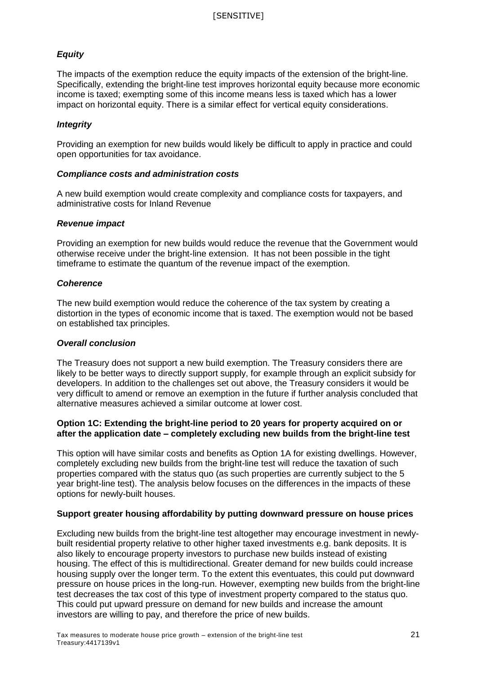## *Equity*

The impacts of the exemption reduce the equity impacts of the extension of the bright-line. Specifically, extending the bright-line test improves horizontal equity because more economic income is taxed; exempting some of this income means less is taxed which has a lower impact on horizontal equity. There is a similar effect for vertical equity considerations.

## *Integrity*

Providing an exemption for new builds would likely be difficult to apply in practice and could open opportunities for tax avoidance.

#### *Compliance costs and administration costs*

A new build exemption would create complexity and compliance costs for taxpayers, and administrative costs for Inland Revenue

#### *Revenue impact*

Providing an exemption for new builds would reduce the revenue that the Government would otherwise receive under the bright-line extension. It has not been possible in the tight timeframe to estimate the quantum of the revenue impact of the exemption.

## *Coherence*

The new build exemption would reduce the coherence of the tax system by creating a distortion in the types of economic income that is taxed. The exemption would not be based on established tax principles.

#### *Overall conclusion*

The Treasury does not support a new build exemption. The Treasury considers there are likely to be better ways to directly support supply, for example through an explicit subsidy for developers. In addition to the challenges set out above, the Treasury considers it would be very difficult to amend or remove an exemption in the future if further analysis concluded that alternative measures achieved a similar outcome at lower cost.

## **Option 1C: Extending the bright-line period to 20 years for property acquired on or after the application date – completely excluding new builds from the bright-line test**

This option will have similar costs and benefits as Option 1A for existing dwellings. However, completely excluding new builds from the bright-line test will reduce the taxation of such properties compared with the status quo (as such properties are currently subject to the 5 year bright-line test). The analysis below focuses on the differences in the impacts of these options for newly-built houses.

## **Support greater housing affordability by putting downward pressure on house prices**

Excluding new builds from the bright-line test altogether may encourage investment in newlybuilt residential property relative to other higher taxed investments e.g. bank deposits. It is also likely to encourage property investors to purchase new builds instead of existing housing. The effect of this is multidirectional. Greater demand for new builds could increase housing supply over the longer term. To the extent this eventuates, this could put downward pressure on house prices in the long-run. However, exempting new builds from the bright-line test decreases the tax cost of this type of investment property compared to the status quo. This could put upward pressure on demand for new builds and increase the amount investors are willing to pay, and therefore the price of new builds.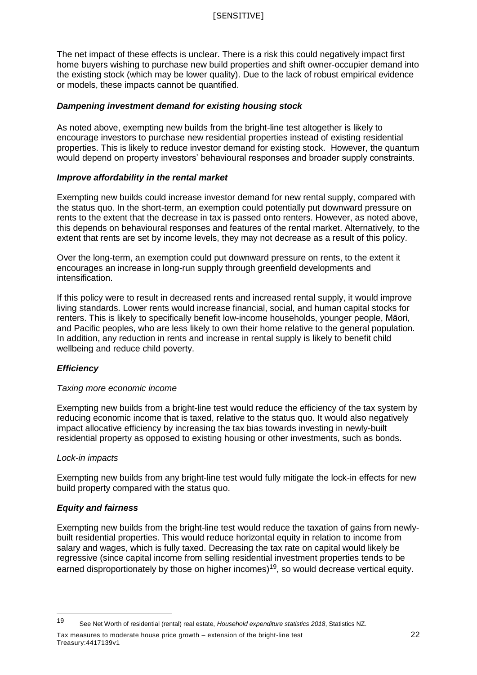The net impact of these effects is unclear. There is a risk this could negatively impact first home buyers wishing to purchase new build properties and shift owner-occupier demand into the existing stock (which may be lower quality). Due to the lack of robust empirical evidence or models, these impacts cannot be quantified.

## *Dampening investment demand for existing housing stock*

As noted above, exempting new builds from the bright-line test altogether is likely to encourage investors to purchase new residential properties instead of existing residential properties. This is likely to reduce investor demand for existing stock. However, the quantum would depend on property investors' behavioural responses and broader supply constraints.

#### *Improve affordability in the rental market*

Exempting new builds could increase investor demand for new rental supply, compared with the status quo. In the short-term, an exemption could potentially put downward pressure on rents to the extent that the decrease in tax is passed onto renters. However, as noted above, this depends on behavioural responses and features of the rental market. Alternatively, to the extent that rents are set by income levels, they may not decrease as a result of this policy.

Over the long-term, an exemption could put downward pressure on rents, to the extent it encourages an increase in long-run supply through greenfield developments and intensification.

If this policy were to result in decreased rents and increased rental supply, it would improve living standards. Lower rents would increase financial, social, and human capital stocks for renters. This is likely to specifically benefit low-income households, younger people, Māori, and Pacific peoples, who are less likely to own their home relative to the general population. In addition, any reduction in rents and increase in rental supply is likely to benefit child wellbeing and reduce child poverty.

## *Efficiency*

#### *Taxing more economic income*

Exempting new builds from a bright-line test would reduce the efficiency of the tax system by reducing economic income that is taxed, relative to the status quo. It would also negatively impact allocative efficiency by increasing the tax bias towards investing in newly-built residential property as opposed to existing housing or other investments, such as bonds.

#### *Lock-in impacts*

 $\overline{a}$ 

Exempting new builds from any bright-line test would fully mitigate the lock-in effects for new build property compared with the status quo.

#### *Equity and fairness*

Exempting new builds from the bright-line test would reduce the taxation of gains from newlybuilt residential properties. This would reduce horizontal equity in relation to income from salary and wages, which is fully taxed. Decreasing the tax rate on capital would likely be regressive (since capital income from selling residential investment properties tends to be earned disproportionately by those on higher incomes)<sup>19</sup>, so would decrease vertical equity.

Tax measures to moderate house price growth – extension of the bright-line test 22 Treasury:4417139v1

<sup>19</sup> See Net Worth of residential (rental) real estate, *Household expenditure statistics 2018*, Statistics NZ.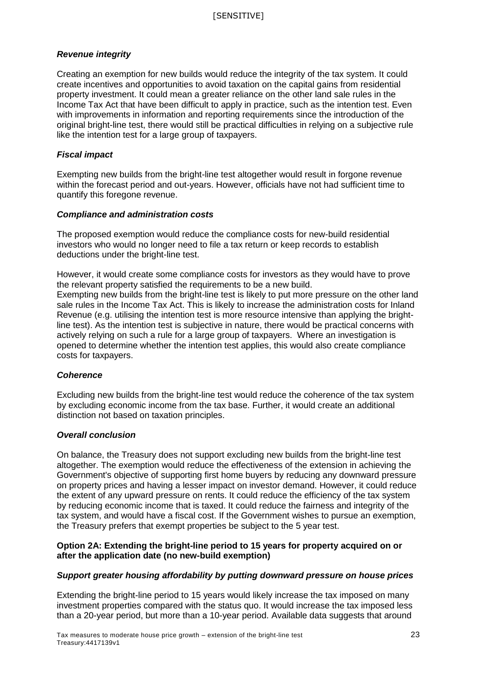## *Revenue integrity*

Creating an exemption for new builds would reduce the integrity of the tax system. It could create incentives and opportunities to avoid taxation on the capital gains from residential property investment. It could mean a greater reliance on the other land sale rules in the Income Tax Act that have been difficult to apply in practice, such as the intention test. Even with improvements in information and reporting requirements since the introduction of the original bright-line test, there would still be practical difficulties in relying on a subjective rule like the intention test for a large group of taxpayers.

## *Fiscal impact*

Exempting new builds from the bright-line test altogether would result in forgone revenue within the forecast period and out-years. However, officials have not had sufficient time to quantify this foregone revenue.

## *Compliance and administration costs*

The proposed exemption would reduce the compliance costs for new-build residential investors who would no longer need to file a tax return or keep records to establish deductions under the bright-line test.

However, it would create some compliance costs for investors as they would have to prove the relevant property satisfied the requirements to be a new build. Exempting new builds from the bright-line test is likely to put more pressure on the other land sale rules in the Income Tax Act. This is likely to increase the administration costs for Inland Revenue (e.g. utilising the intention test is more resource intensive than applying the brightline test). As the intention test is subjective in nature, there would be practical concerns with actively relying on such a rule for a large group of taxpayers. Where an investigation is opened to determine whether the intention test applies, this would also create compliance costs for taxpayers.

## *Coherence*

Excluding new builds from the bright-line test would reduce the coherence of the tax system by excluding economic income from the tax base. Further, it would create an additional distinction not based on taxation principles.

## *Overall conclusion*

On balance, the Treasury does not support excluding new builds from the bright-line test altogether. The exemption would reduce the effectiveness of the extension in achieving the Government's objective of supporting first home buyers by reducing any downward pressure on property prices and having a lesser impact on investor demand. However, it could reduce the extent of any upward pressure on rents. It could reduce the efficiency of the tax system by reducing economic income that is taxed. It could reduce the fairness and integrity of the tax system, and would have a fiscal cost. If the Government wishes to pursue an exemption, the Treasury prefers that exempt properties be subject to the 5 year test.

## **Option 2A: Extending the bright-line period to 15 years for property acquired on or after the application date (no new-build exemption)**

## *Support greater housing affordability by putting downward pressure on house prices*

Extending the bright-line period to 15 years would likely increase the tax imposed on many investment properties compared with the status quo. It would increase the tax imposed less than a 20-year period, but more than a 10-year period. Available data suggests that around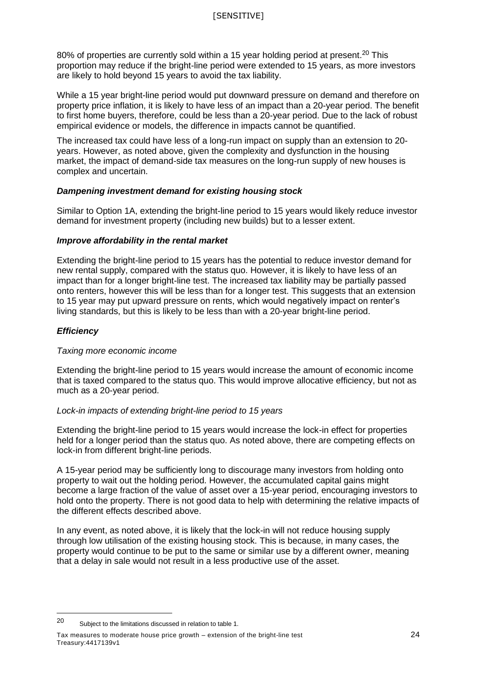80% of properties are currently sold within a 15 year holding period at present.<sup>20</sup> This proportion may reduce if the bright-line period were extended to 15 years, as more investors are likely to hold beyond 15 years to avoid the tax liability.

While a 15 year bright-line period would put downward pressure on demand and therefore on property price inflation, it is likely to have less of an impact than a 20-year period. The benefit to first home buyers, therefore, could be less than a 20-year period. Due to the lack of robust empirical evidence or models, the difference in impacts cannot be quantified.

The increased tax could have less of a long-run impact on supply than an extension to 20 years. However, as noted above, given the complexity and dysfunction in the housing market, the impact of demand-side tax measures on the long-run supply of new houses is complex and uncertain.

## *Dampening investment demand for existing housing stock*

Similar to Option 1A, extending the bright-line period to 15 years would likely reduce investor demand for investment property (including new builds) but to a lesser extent.

## *Improve affordability in the rental market*

Extending the bright-line period to 15 years has the potential to reduce investor demand for new rental supply, compared with the status quo. However, it is likely to have less of an impact than for a longer bright-line test. The increased tax liability may be partially passed onto renters, however this will be less than for a longer test. This suggests that an extension to 15 year may put upward pressure on rents, which would negatively impact on renter's living standards, but this is likely to be less than with a 20-year bright-line period.

## *Efficiency*

 $\overline{a}$ 

#### *Taxing more economic income*

Extending the bright-line period to 15 years would increase the amount of economic income that is taxed compared to the status quo. This would improve allocative efficiency, but not as much as a 20-year period.

#### *Lock-in impacts of extending bright-line period to 15 years*

Extending the bright-line period to 15 years would increase the lock-in effect for properties held for a longer period than the status quo. As noted above, there are competing effects on lock-in from different bright-line periods.

A 15-year period may be sufficiently long to discourage many investors from holding onto property to wait out the holding period. However, the accumulated capital gains might become a large fraction of the value of asset over a 15-year period, encouraging investors to hold onto the property. There is not good data to help with determining the relative impacts of the different effects described above.

In any event, as noted above, it is likely that the lock-in will not reduce housing supply through low utilisation of the existing housing stock. This is because, in many cases, the property would continue to be put to the same or similar use by a different owner, meaning that a delay in sale would not result in a less productive use of the asset.

<sup>20</sup> Subject to the limitations discussed in relation to table 1.

Tax measures to moderate house price growth – extension of the bright-line test 24 Treasury:4417139v1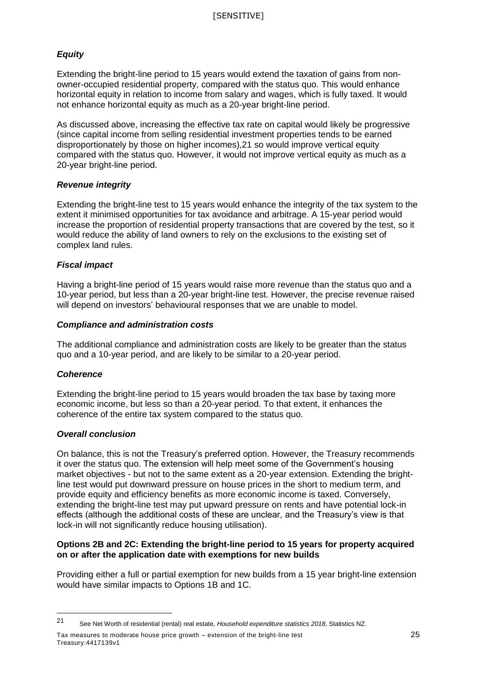## *Equity*

Extending the bright-line period to 15 years would extend the taxation of gains from nonowner-occupied residential property, compared with the status quo. This would enhance horizontal equity in relation to income from salary and wages, which is fully taxed. It would not enhance horizontal equity as much as a 20-year bright-line period.

As discussed above, increasing the effective tax rate on capital would likely be progressive (since capital income from selling residential investment properties tends to be earned disproportionately by those on higher incomes),21 so would improve vertical equity compared with the status quo. However, it would not improve vertical equity as much as a 20-year bright-line period.

## *Revenue integrity*

Extending the bright-line test to 15 years would enhance the integrity of the tax system to the extent it minimised opportunities for tax avoidance and arbitrage. A 15-year period would increase the proportion of residential property transactions that are covered by the test, so it would reduce the ability of land owners to rely on the exclusions to the existing set of complex land rules.

## *Fiscal impact*

Having a bright-line period of 15 years would raise more revenue than the status quo and a 10-year period, but less than a 20-year bright-line test. However, the precise revenue raised will depend on investors' behavioural responses that we are unable to model.

## *Compliance and administration costs*

The additional compliance and administration costs are likely to be greater than the status quo and a 10-year period, and are likely to be similar to a 20-year period.

## *Coherence*

 $\overline{a}$ 

Extending the bright-line period to 15 years would broaden the tax base by taxing more economic income, but less so than a 20-year period. To that extent, it enhances the coherence of the entire tax system compared to the status quo.

#### *Overall conclusion*

On balance, this is not the Treasury's preferred option. However, the Treasury recommends it over the status quo. The extension will help meet some of the Government's housing market objectives - but not to the same extent as a 20-year extension. Extending the brightline test would put downward pressure on house prices in the short to medium term, and provide equity and efficiency benefits as more economic income is taxed. Conversely, extending the bright-line test may put upward pressure on rents and have potential lock-in effects (although the additional costs of these are unclear, and the Treasury's view is that lock-in will not significantly reduce housing utilisation).

## **Options 2B and 2C: Extending the bright-line period to 15 years for property acquired on or after the application date with exemptions for new builds**

Providing either a full or partial exemption for new builds from a 15 year bright-line extension would have similar impacts to Options 1B and 1C.

Tax measures to moderate house price growth – extension of the bright-line test 25 Treasury:4417139v1

<sup>21</sup> See Net Worth of residential (rental) real estate, *Household expenditure statistics 2018*, Statistics NZ.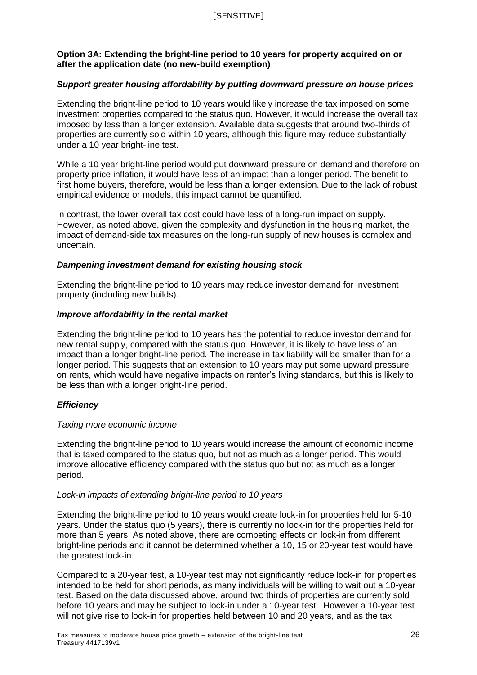## **Option 3A: Extending the bright-line period to 10 years for property acquired on or after the application date (no new-build exemption)**

## *Support greater housing affordability by putting downward pressure on house prices*

Extending the bright-line period to 10 years would likely increase the tax imposed on some investment properties compared to the status quo. However, it would increase the overall tax imposed by less than a longer extension. Available data suggests that around two-thirds of properties are currently sold within 10 years, although this figure may reduce substantially under a 10 year bright-line test.

While a 10 year bright-line period would put downward pressure on demand and therefore on property price inflation, it would have less of an impact than a longer period. The benefit to first home buyers, therefore, would be less than a longer extension. Due to the lack of robust empirical evidence or models, this impact cannot be quantified.

In contrast, the lower overall tax cost could have less of a long-run impact on supply. However, as noted above, given the complexity and dysfunction in the housing market, the impact of demand-side tax measures on the long-run supply of new houses is complex and uncertain.

## *Dampening investment demand for existing housing stock*

Extending the bright-line period to 10 years may reduce investor demand for investment property (including new builds).

#### *Improve affordability in the rental market*

Extending the bright-line period to 10 years has the potential to reduce investor demand for new rental supply, compared with the status quo. However, it is likely to have less of an impact than a longer bright-line period. The increase in tax liability will be smaller than for a longer period. This suggests that an extension to 10 years may put some upward pressure on rents, which would have negative impacts on renter's living standards, but this is likely to be less than with a longer bright-line period.

## *Efficiency*

#### *Taxing more economic income*

Extending the bright-line period to 10 years would increase the amount of economic income that is taxed compared to the status quo, but not as much as a longer period. This would improve allocative efficiency compared with the status quo but not as much as a longer period.

#### *Lock-in impacts of extending bright-line period to 10 years*

Extending the bright-line period to 10 years would create lock-in for properties held for 5-10 years. Under the status quo (5 years), there is currently no lock-in for the properties held for more than 5 years. As noted above, there are competing effects on lock-in from different bright-line periods and it cannot be determined whether a 10, 15 or 20-year test would have the greatest lock-in.

Compared to a 20-year test, a 10-year test may not significantly reduce lock-in for properties intended to be held for short periods, as many individuals will be willing to wait out a 10-year test. Based on the data discussed above, around two thirds of properties are currently sold before 10 years and may be subject to lock-in under a 10-year test. However a 10-year test will not give rise to lock-in for properties held between 10 and 20 years, and as the tax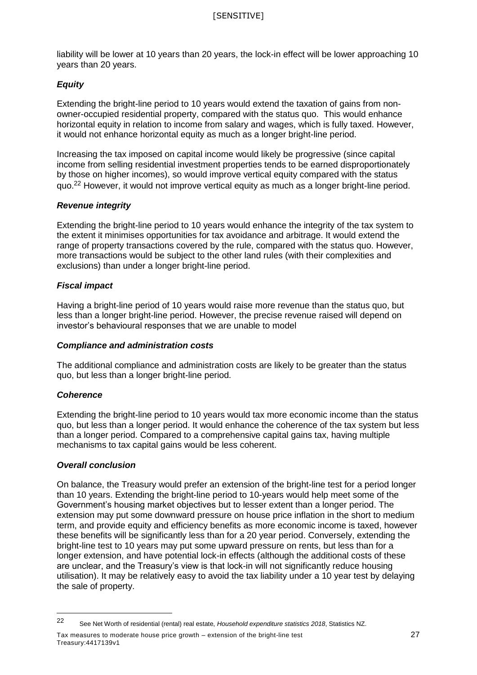liability will be lower at 10 years than 20 years, the lock-in effect will be lower approaching 10 years than 20 years.

## *Equity*

Extending the bright-line period to 10 years would extend the taxation of gains from nonowner-occupied residential property, compared with the status quo. This would enhance horizontal equity in relation to income from salary and wages, which is fully taxed. However, it would not enhance horizontal equity as much as a longer bright-line period.

Increasing the tax imposed on capital income would likely be progressive (since capital income from selling residential investment properties tends to be earned disproportionately by those on higher incomes), so would improve vertical equity compared with the status quo.<sup>22</sup> However, it would not improve vertical equity as much as a longer bright-line period.

## *Revenue integrity*

Extending the bright-line period to 10 years would enhance the integrity of the tax system to the extent it minimises opportunities for tax avoidance and arbitrage. It would extend the range of property transactions covered by the rule, compared with the status quo. However, more transactions would be subject to the other land rules (with their complexities and exclusions) than under a longer bright-line period.

## *Fiscal impact*

Having a bright-line period of 10 years would raise more revenue than the status quo, but less than a longer bright-line period. However, the precise revenue raised will depend on investor's behavioural responses that we are unable to model

## *Compliance and administration costs*

The additional compliance and administration costs are likely to be greater than the status quo, but less than a longer bright-line period.

## *Coherence*

 $\overline{a}$ 

Extending the bright-line period to 10 years would tax more economic income than the status quo, but less than a longer period. It would enhance the coherence of the tax system but less than a longer period. Compared to a comprehensive capital gains tax, having multiple mechanisms to tax capital gains would be less coherent.

## *Overall conclusion*

On balance, the Treasury would prefer an extension of the bright-line test for a period longer than 10 years. Extending the bright-line period to 10-years would help meet some of the Government's housing market objectives but to lesser extent than a longer period. The extension may put some downward pressure on house price inflation in the short to medium term, and provide equity and efficiency benefits as more economic income is taxed, however these benefits will be significantly less than for a 20 year period. Conversely, extending the bright-line test to 10 years may put some upward pressure on rents, but less than for a longer extension, and have potential lock-in effects (although the additional costs of these are unclear, and the Treasury's view is that lock-in will not significantly reduce housing utilisation). It may be relatively easy to avoid the tax liability under a 10 year test by delaying the sale of property.

Tax measures to moderate house price growth – extension of the bright-line test 27 Treasury:4417139v1

<sup>22</sup> See Net Worth of residential (rental) real estate, *Household expenditure statistics 2018*, Statistics NZ.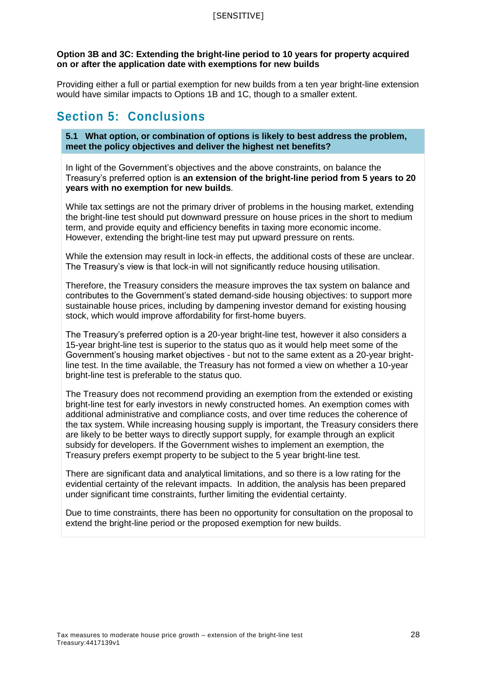## **Option 3B and 3C: Extending the bright-line period to 10 years for property acquired on or after the application date with exemptions for new builds**

Providing either a full or partial exemption for new builds from a ten year bright-line extension would have similar impacts to Options 1B and 1C, though to a smaller extent.

## **Section 5: Conclusions**

**5.1 What option, or combination of options is likely to best address the problem, meet the policy objectives and deliver the highest net benefits?**

In light of the Government's objectives and the above constraints, on balance the Treasury's preferred option is **an extension of the bright-line period from 5 years to 20 years with no exemption for new builds**.

While tax settings are not the primary driver of problems in the housing market, extending the bright-line test should put downward pressure on house prices in the short to medium term, and provide equity and efficiency benefits in taxing more economic income. However, extending the bright-line test may put upward pressure on rents.

While the extension may result in lock-in effects, the additional costs of these are unclear. The Treasury's view is that lock-in will not significantly reduce housing utilisation.

Therefore, the Treasury considers the measure improves the tax system on balance and contributes to the Government's stated demand-side housing objectives: to support more sustainable house prices, including by dampening investor demand for existing housing stock, which would improve affordability for first-home buyers.

The Treasury's preferred option is a 20-year bright-line test, however it also considers a 15-year bright-line test is superior to the status quo as it would help meet some of the Government's housing market objectives - but not to the same extent as a 20-year brightline test. In the time available, the Treasury has not formed a view on whether a 10-year bright-line test is preferable to the status quo.

The Treasury does not recommend providing an exemption from the extended or existing bright-line test for early investors in newly constructed homes. An exemption comes with additional administrative and compliance costs, and over time reduces the coherence of the tax system. While increasing housing supply is important, the Treasury considers there are likely to be better ways to directly support supply, for example through an explicit subsidy for developers. If the Government wishes to implement an exemption, the Treasury prefers exempt property to be subject to the 5 year bright-line test.

There are significant data and analytical limitations, and so there is a low rating for the evidential certainty of the relevant impacts. In addition, the analysis has been prepared under significant time constraints, further limiting the evidential certainty.

Due to time constraints, there has been no opportunity for consultation on the proposal to extend the bright-line period or the proposed exemption for new builds.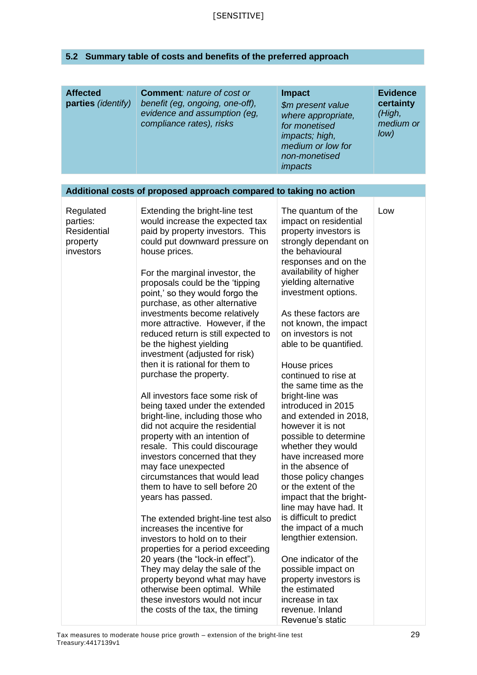## **5.2 Summary table of costs and benefits of the preferred approach**

| <b>Affected</b><br>parties (identify)                         | <b>Comment: nature of cost or</b><br>benefit (eg, ongoing, one-off),<br>evidence and assumption (eg,<br>compliance rates), risks                                                                                                                                                                                                                                                                                                                                                                                                                                                                                                                                                                                                                                                                                                                                                                                                                                                                                                                                                                                                                                                                                                                                 | <b>Impact</b><br>\$m present value<br>where appropriate,<br>for monetised<br><i>impacts; high,</i><br>medium or low for<br>non-monetised<br><i>impacts</i>                                                                                                                                                                                                                                                                                                                                                                                                                                                                                                                                                                                                                                                                                                                                             | <b>Evidence</b><br>certainty<br>(High,<br>medium or<br>Iow) |
|---------------------------------------------------------------|------------------------------------------------------------------------------------------------------------------------------------------------------------------------------------------------------------------------------------------------------------------------------------------------------------------------------------------------------------------------------------------------------------------------------------------------------------------------------------------------------------------------------------------------------------------------------------------------------------------------------------------------------------------------------------------------------------------------------------------------------------------------------------------------------------------------------------------------------------------------------------------------------------------------------------------------------------------------------------------------------------------------------------------------------------------------------------------------------------------------------------------------------------------------------------------------------------------------------------------------------------------|--------------------------------------------------------------------------------------------------------------------------------------------------------------------------------------------------------------------------------------------------------------------------------------------------------------------------------------------------------------------------------------------------------------------------------------------------------------------------------------------------------------------------------------------------------------------------------------------------------------------------------------------------------------------------------------------------------------------------------------------------------------------------------------------------------------------------------------------------------------------------------------------------------|-------------------------------------------------------------|
|                                                               | Additional costs of proposed approach compared to taking no action                                                                                                                                                                                                                                                                                                                                                                                                                                                                                                                                                                                                                                                                                                                                                                                                                                                                                                                                                                                                                                                                                                                                                                                               |                                                                                                                                                                                                                                                                                                                                                                                                                                                                                                                                                                                                                                                                                                                                                                                                                                                                                                        |                                                             |
| Regulated<br>parties:<br>Residential<br>property<br>investors | Extending the bright-line test<br>would increase the expected tax<br>paid by property investors. This<br>could put downward pressure on<br>house prices.<br>For the marginal investor, the<br>proposals could be the 'tipping<br>point,' so they would forgo the<br>purchase, as other alternative<br>investments become relatively<br>more attractive. However, if the<br>reduced return is still expected to<br>be the highest yielding<br>investment (adjusted for risk)<br>then it is rational for them to<br>purchase the property.<br>All investors face some risk of<br>being taxed under the extended<br>bright-line, including those who<br>did not acquire the residential<br>property with an intention of<br>resale. This could discourage<br>investors concerned that they<br>may face unexpected<br>circumstances that would lead<br>them to have to sell before 20<br>years has passed.<br>The extended bright-line test also<br>increases the incentive for<br>investors to hold on to their<br>properties for a period exceeding<br>20 years (the "lock-in effect").<br>They may delay the sale of the<br>property beyond what may have<br>otherwise been optimal. While<br>these investors would not incur<br>the costs of the tax, the timing | The quantum of the<br>impact on residential<br>property investors is<br>strongly dependant on<br>the behavioural<br>responses and on the<br>availability of higher<br>yielding alternative<br>investment options.<br>As these factors are<br>not known, the impact<br>on investors is not<br>able to be quantified.<br>House prices<br>continued to rise at<br>the same time as the<br>bright-line was<br>introduced in 2015<br>and extended in 2018,<br>however it is not<br>possible to determine<br>whether they would<br>have increased more<br>in the absence of<br>those policy changes<br>or the extent of the<br>impact that the bright-<br>line may have had. It<br>is difficult to predict<br>the impact of a much<br>lengthier extension.<br>One indicator of the<br>possible impact on<br>property investors is<br>the estimated<br>increase in tax<br>revenue. Inland<br>Revenue's static | Low                                                         |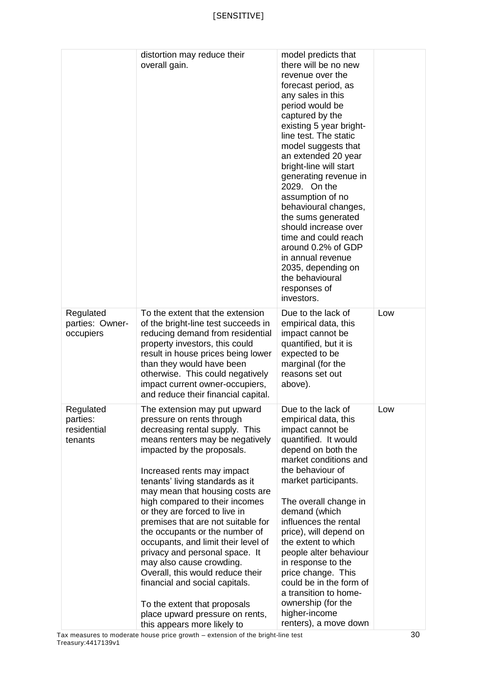|                                                 | distortion may reduce their<br>overall gain.                                                                                                                                                                                                                                                                                                                                                                                                                                                                                                                                                                                                                                             | model predicts that<br>there will be no new<br>revenue over the<br>forecast period, as<br>any sales in this<br>period would be<br>captured by the<br>existing 5 year bright-<br>line test. The static<br>model suggests that<br>an extended 20 year<br>bright-line will start<br>generating revenue in<br>2029. On the<br>assumption of no<br>behavioural changes,<br>the sums generated<br>should increase over<br>time and could reach<br>around 0.2% of GDP<br>in annual revenue<br>2035, depending on<br>the behavioural<br>responses of |     |
|-------------------------------------------------|------------------------------------------------------------------------------------------------------------------------------------------------------------------------------------------------------------------------------------------------------------------------------------------------------------------------------------------------------------------------------------------------------------------------------------------------------------------------------------------------------------------------------------------------------------------------------------------------------------------------------------------------------------------------------------------|----------------------------------------------------------------------------------------------------------------------------------------------------------------------------------------------------------------------------------------------------------------------------------------------------------------------------------------------------------------------------------------------------------------------------------------------------------------------------------------------------------------------------------------------|-----|
| Regulated<br>parties: Owner-<br>occupiers       | To the extent that the extension<br>of the bright-line test succeeds in<br>reducing demand from residential<br>property investors, this could<br>result in house prices being lower<br>than they would have been<br>otherwise. This could negatively<br>impact current owner-occupiers,<br>and reduce their financial capital.                                                                                                                                                                                                                                                                                                                                                           | investors.<br>Due to the lack of<br>empirical data, this<br>impact cannot be<br>quantified, but it is<br>expected to be<br>marginal (for the<br>reasons set out<br>above).                                                                                                                                                                                                                                                                                                                                                                   | Low |
| Regulated<br>parties:<br>residential<br>tenants | The extension may put upward<br>pressure on rents through<br>decreasing rental supply. This<br>means renters may be negatively<br>impacted by the proposals.<br>Increased rents may impact<br>tenants' living standards as it<br>may mean that housing costs are<br>high compared to their incomes<br>or they are forced to live in<br>premises that are not suitable for<br>the occupants or the number of<br>occupants, and limit their level of<br>privacy and personal space. It<br>may also cause crowding.<br>Overall, this would reduce their<br>financial and social capitals.<br>To the extent that proposals<br>place upward pressure on rents,<br>this appears more likely to | Due to the lack of<br>empirical data, this<br>impact cannot be<br>quantified. It would<br>depend on both the<br>market conditions and<br>the behaviour of<br>market participants.<br>The overall change in<br>demand (which<br>influences the rental<br>price), will depend on<br>the extent to which<br>people alter behaviour<br>in response to the<br>price change. This<br>could be in the form of<br>a transition to home-<br>ownership (for the<br>higher-income<br>renters), a move down                                              | Low |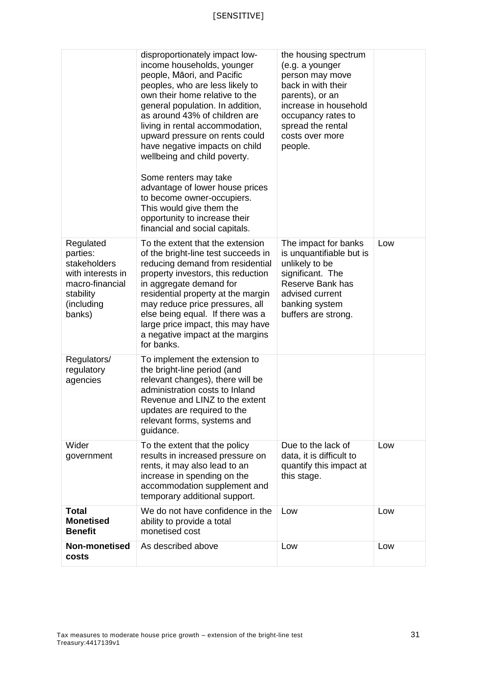|                                                                                                                    | disproportionately impact low-<br>income households, younger<br>people, Māori, and Pacific<br>peoples, who are less likely to<br>own their home relative to the<br>general population. In addition,<br>as around 43% of children are<br>living in rental accommodation,<br>upward pressure on rents could<br>have negative impacts on child<br>wellbeing and child poverty.<br>Some renters may take<br>advantage of lower house prices<br>to become owner-occupiers.<br>This would give them the<br>opportunity to increase their<br>financial and social capitals. | the housing spectrum<br>(e.g. a younger<br>person may move<br>back in with their<br>parents), or an<br>increase in household<br>occupancy rates to<br>spread the rental<br>costs over more<br>people. |     |
|--------------------------------------------------------------------------------------------------------------------|----------------------------------------------------------------------------------------------------------------------------------------------------------------------------------------------------------------------------------------------------------------------------------------------------------------------------------------------------------------------------------------------------------------------------------------------------------------------------------------------------------------------------------------------------------------------|-------------------------------------------------------------------------------------------------------------------------------------------------------------------------------------------------------|-----|
| Regulated<br>parties:<br>stakeholders<br>with interests in<br>macro-financial<br>stability<br>(including<br>banks) | To the extent that the extension<br>of the bright-line test succeeds in<br>reducing demand from residential<br>property investors, this reduction<br>in aggregate demand for<br>residential property at the margin<br>may reduce price pressures, all<br>else being equal. If there was a<br>large price impact, this may have<br>a negative impact at the margins<br>for banks.                                                                                                                                                                                     | The impact for banks<br>is unquantifiable but is<br>unlikely to be<br>significant. The<br>Reserve Bank has<br>advised current<br>banking system<br>buffers are strong.                                | Low |
| Regulators/<br>regulatory<br>agencies                                                                              | To implement the extension to<br>the bright-line period (and<br>relevant changes), there will be<br>administration costs to Inland<br>Revenue and LINZ to the extent<br>updates are required to the<br>relevant forms, systems and<br>guidance.                                                                                                                                                                                                                                                                                                                      |                                                                                                                                                                                                       |     |
| Wider<br>government                                                                                                | To the extent that the policy<br>results in increased pressure on<br>rents, it may also lead to an<br>increase in spending on the<br>accommodation supplement and<br>temporary additional support.                                                                                                                                                                                                                                                                                                                                                                   | Due to the lack of<br>data, it is difficult to<br>quantify this impact at<br>this stage.                                                                                                              | Low |
| <b>Total</b><br><b>Monetised</b><br><b>Benefit</b>                                                                 | We do not have confidence in the<br>ability to provide a total<br>monetised cost                                                                                                                                                                                                                                                                                                                                                                                                                                                                                     | Low                                                                                                                                                                                                   | Low |
| Non-monetised<br>costs                                                                                             | As described above                                                                                                                                                                                                                                                                                                                                                                                                                                                                                                                                                   | Low                                                                                                                                                                                                   | Low |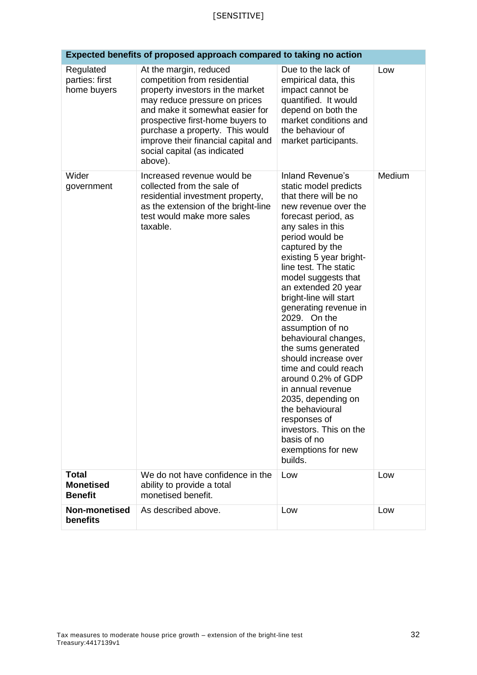| Expected benefits of proposed approach compared to taking no action |                                                                                                                                                                                                                                                                                                                         |                                                                                                                                                                                                                                                                                                                                                                                                                                                                                                                                                                                                                                                   |        |  |  |
|---------------------------------------------------------------------|-------------------------------------------------------------------------------------------------------------------------------------------------------------------------------------------------------------------------------------------------------------------------------------------------------------------------|---------------------------------------------------------------------------------------------------------------------------------------------------------------------------------------------------------------------------------------------------------------------------------------------------------------------------------------------------------------------------------------------------------------------------------------------------------------------------------------------------------------------------------------------------------------------------------------------------------------------------------------------------|--------|--|--|
| Regulated<br>parties: first<br>home buyers                          | At the margin, reduced<br>competition from residential<br>property investors in the market<br>may reduce pressure on prices<br>and make it somewhat easier for<br>prospective first-home buyers to<br>purchase a property. This would<br>improve their financial capital and<br>social capital (as indicated<br>above). | Due to the lack of<br>empirical data, this<br>impact cannot be<br>quantified. It would<br>depend on both the<br>market conditions and<br>the behaviour of<br>market participants.                                                                                                                                                                                                                                                                                                                                                                                                                                                                 | Low    |  |  |
| Wider<br>government                                                 | Increased revenue would be<br>collected from the sale of<br>residential investment property,<br>as the extension of the bright-line<br>test would make more sales<br>taxable.                                                                                                                                           | Inland Revenue's<br>static model predicts<br>that there will be no<br>new revenue over the<br>forecast period, as<br>any sales in this<br>period would be<br>captured by the<br>existing 5 year bright-<br>line test. The static<br>model suggests that<br>an extended 20 year<br>bright-line will start<br>generating revenue in<br>2029. On the<br>assumption of no<br>behavioural changes,<br>the sums generated<br>should increase over<br>time and could reach<br>around 0.2% of GDP<br>in annual revenue<br>2035, depending on<br>the behavioural<br>responses of<br>investors. This on the<br>basis of no<br>exemptions for new<br>builds. | Medium |  |  |
| <b>Total</b><br><b>Monetised</b><br><b>Benefit</b>                  | We do not have confidence in the<br>ability to provide a total<br>monetised benefit.                                                                                                                                                                                                                                    | Low                                                                                                                                                                                                                                                                                                                                                                                                                                                                                                                                                                                                                                               | Low    |  |  |
| <b>Non-monetised</b><br>benefits                                    | As described above.                                                                                                                                                                                                                                                                                                     | Low                                                                                                                                                                                                                                                                                                                                                                                                                                                                                                                                                                                                                                               | Low    |  |  |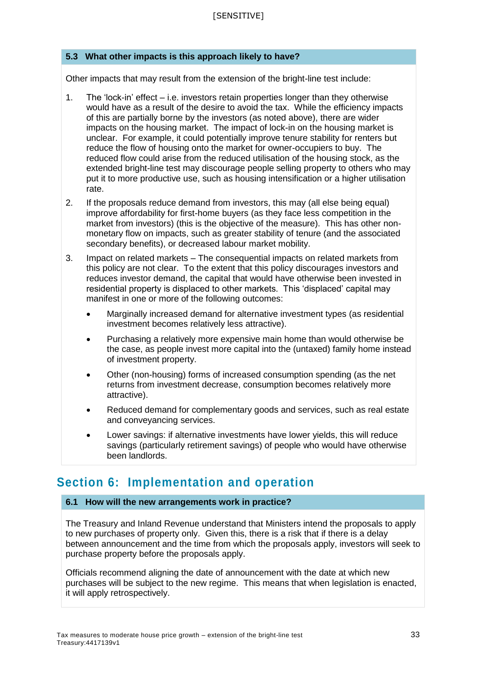## **5.3 What other impacts is this approach likely to have?**

Other impacts that may result from the extension of the bright-line test include:

- 1. The 'lock-in' effect i.e. investors retain properties longer than they otherwise would have as a result of the desire to avoid the tax. While the efficiency impacts of this are partially borne by the investors (as noted above), there are wider impacts on the housing market. The impact of lock-in on the housing market is unclear. For example, it could potentially improve tenure stability for renters but reduce the flow of housing onto the market for owner-occupiers to buy. The reduced flow could arise from the reduced utilisation of the housing stock, as the extended bright-line test may discourage people selling property to others who may put it to more productive use, such as housing intensification or a higher utilisation rate.
- 2. If the proposals reduce demand from investors, this may (all else being equal) improve affordability for first-home buyers (as they face less competition in the market from investors) (this is the objective of the measure). This has other nonmonetary flow on impacts, such as greater stability of tenure (and the associated secondary benefits), or decreased labour market mobility.
- 3. Impact on related markets The consequential impacts on related markets from this policy are not clear. To the extent that this policy discourages investors and reduces investor demand, the capital that would have otherwise been invested in residential property is displaced to other markets. This 'displaced' capital may manifest in one or more of the following outcomes:
	- Marginally increased demand for alternative investment types (as residential investment becomes relatively less attractive).
	- Purchasing a relatively more expensive main home than would otherwise be the case, as people invest more capital into the (untaxed) family home instead of investment property.
	- Other (non-housing) forms of increased consumption spending (as the net returns from investment decrease, consumption becomes relatively more attractive).
	- Reduced demand for complementary goods and services, such as real estate and conveyancing services.
	- Lower savings: if alternative investments have lower yields, this will reduce savings (particularly retirement savings) of people who would have otherwise been landlords.

## **Section 6: Implementation and operation**

#### **6.1 How will the new arrangements work in practice?**

The Treasury and Inland Revenue understand that Ministers intend the proposals to apply to new purchases of property only. Given this, there is a risk that if there is a delay between announcement and the time from which the proposals apply, investors will seek to purchase property before the proposals apply.

Officials recommend aligning the date of announcement with the date at which new purchases will be subject to the new regime. This means that when legislation is enacted, it will apply retrospectively.